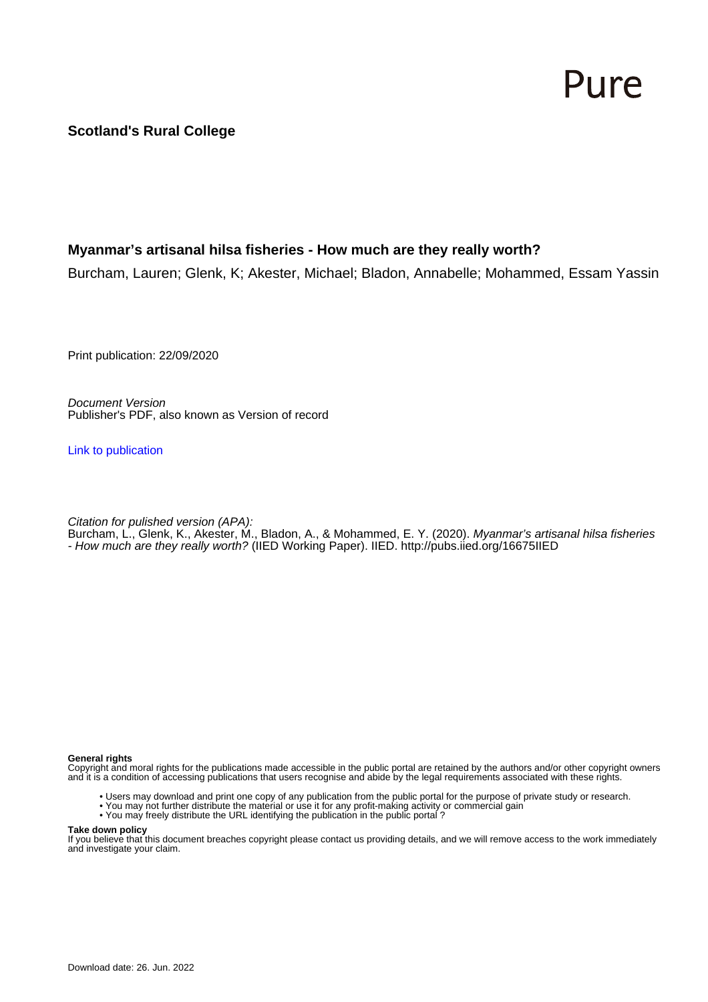### Pure

**Scotland's Rural College**

#### **Myanmar's artisanal hilsa fisheries - How much are they really worth?**

Burcham, Lauren; Glenk, K; Akester, Michael; Bladon, Annabelle; Mohammed, Essam Yassin

Print publication: 22/09/2020

Document Version Publisher's PDF, also known as Version of record

[Link to publication](https://pure.sruc.ac.uk/en/publications/09269cef-a775-4139-be6f-059a68a4f205)

Citation for pulished version (APA):

Burcham, L., Glenk, K., Akester, M., Bladon, A., & Mohammed, E. Y. (2020). *Myanmar's artisanal hilsa fisheries* - How much are they really worth? (IIED Working Paper). IIED.<http://pubs.iied.org/16675IIED>

#### **General rights**

Copyright and moral rights for the publications made accessible in the public portal are retained by the authors and/or other copyright owners and it is a condition of accessing publications that users recognise and abide by the legal requirements associated with these rights.

- Users may download and print one copy of any publication from the public portal for the purpose of private study or research.
- You may not further distribute the material or use it for any profit-making activity or commercial gain
- You may freely distribute the URL identifying the publication in the public portal ?

#### **Take down policy**

If you believe that this document breaches copyright please contact us providing details, and we will remove access to the work immediately and investigate your claim.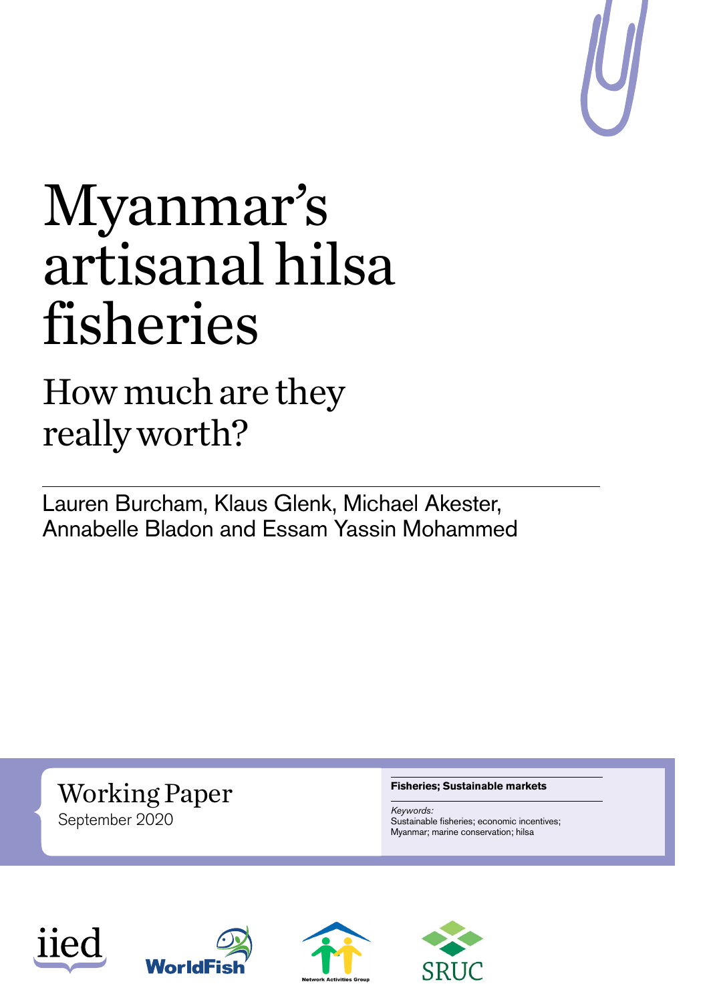

## Myanmar's artisanal hilsa fisheries

## How much are they really worth?

Lauren Burcham, Klaus Glenk, Michael Akester, Annabelle Bladon and Essam Yassin Mohammed

Working Paper September 2020

#### **Fisheries; Sustainable markets**

*Keywords:* Sustainable fisheries; economic incentives; Myanmar; marine conservation; hilsa







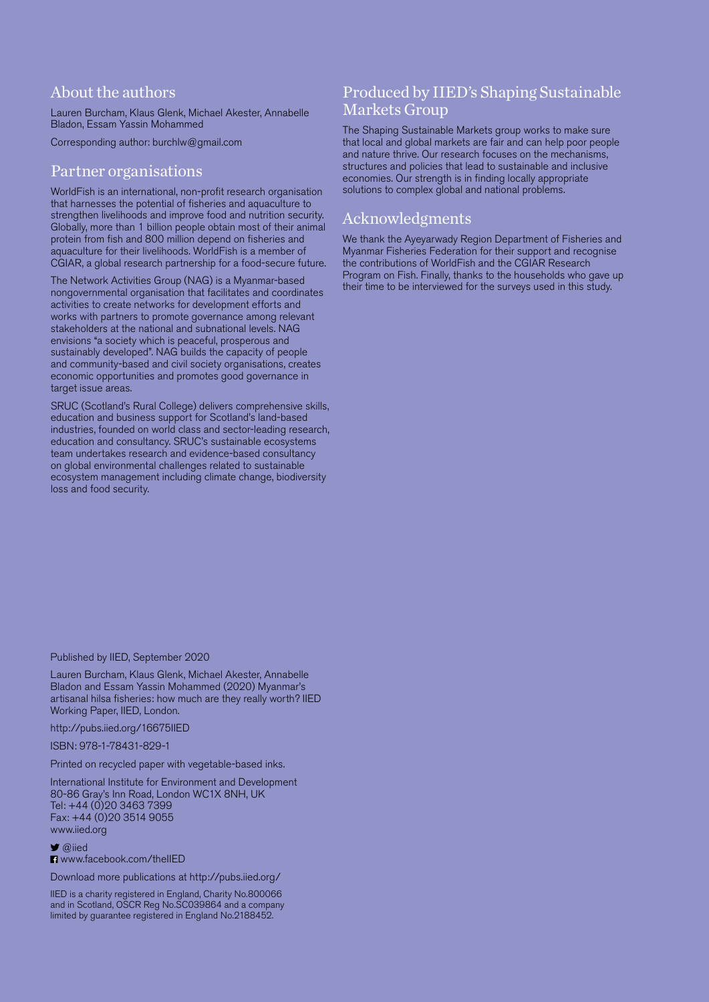#### About the authors

Lauren Burcham, Klaus Glenk, Michael Akester, Annabelle Bladon, Essam Yassin Mohammed

Corresponding author: [burchlw@gmail.com](mailto:burchlw%40gmail.com?subject=)

#### Partner organisations

WorldFish is an international, non-profit research organisation that harnesses the potential of fisheries and aquaculture to strengthen livelihoods and improve food and nutrition security. Globally, more than 1 billion people obtain most of their animal protein from fish and 800 million depend on fisheries and aquaculture for their livelihoods. WorldFish is a member of CGIAR, a global research partnership for a food-secure future.

The Network Activities Group (NAG) is a Myanmar-based nongovernmental organisation that facilitates and coordinates activities to create networks for development efforts and works with partners to promote governance among relevant stakeholders at the national and subnational levels. NAG envisions "a society which is peaceful, prosperous and sustainably developed". NAG builds the capacity of people and community-based and civil society organisations, creates economic opportunities and promotes good governance in target issue areas.

SRUC (Scotland's Rural College) delivers comprehensive skills, education and business support for Scotland's land-based industries, founded on world class and sector-leading research, education and consultancy. SRUC's sustainable ecosystems team undertakes research and evidence-based consultancy on global environmental challenges related to sustainable ecosystem management including climate change, biodiversity loss and food security.

#### Produced by IIED's Shaping Sustainable Markets Group

The Shaping Sustainable Markets group works to make sure that local and global markets are fair and can help poor people and nature thrive. Our research focuses on the mechanisms, structures and policies that lead to sustainable and inclusive economies. Our strength is in finding locally appropriate solutions to complex global and national problems.

#### Acknowledgments

We thank the Ayeyarwady Region Department of Fisheries and Myanmar Fisheries Federation for their support and recognise the contributions of WorldFish and the CGIAR Research Program on Fish. Finally, thanks to the households who gave up their time to be interviewed for the surveys used in this study.

Published by IIED, September 2020

Lauren Burcham, Klaus Glenk, Michael Akester, Annabelle Bladon and Essam Yassin Mohammed (2020) Myanmar's artisanal hilsa fisheries: how much are they really worth? IIED Working Paper, IIED, London.

<http://pubs.iied.org/16675IIED>

ISBN: 978-1-78431-829-1

Printed on recycled paper with vegetable-based inks.

International Institute for Environment and Development 80-86 Gray's Inn Road, London WC1X 8NH, UK Tel: +44 (0)20 3463 7399 Fax: +44 (0)20 3514 9055 [www.iied.org](http://www.iied.org)

**■** [@iied](https://twitter.com/iied)

**El** www.facebook.com/theIIFD

Download more publications at<http://pubs.iied.org/>

IIED is a charity registered in England, Charity No.800066 and in Scotland, OSCR Reg No.SC039864 and a company limited by guarantee registered in England No.2188452.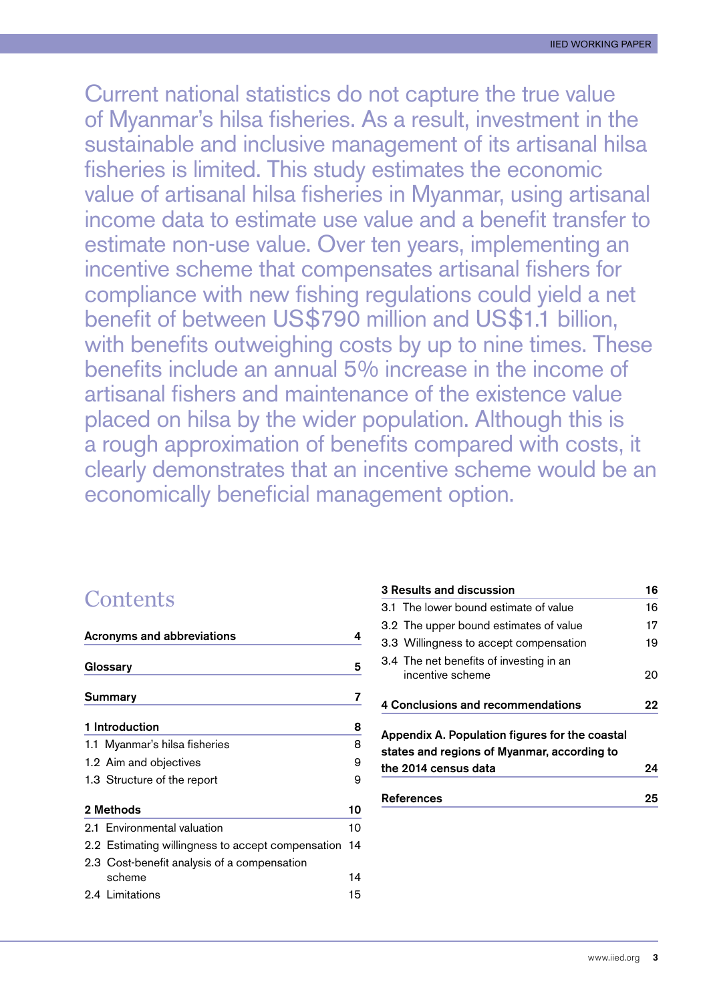Current national statistics do not capture the true value of Myanmar's hilsa fisheries. As a result, investment in the sustainable and inclusive management of its artisanal hilsa fisheries is limited. This study estimates the economic value of artisanal hilsa fisheries in Myanmar, using artisanal income data to estimate use value and a benefit transfer to estimate non-use value. Over ten years, implementing an incentive scheme that compensates artisanal fishers for compliance with new fishing regulations could yield a net benefit of between US\$790 million and US\$1.1 billion, with benefits outweighing costs by up to nine times. These benefits include an annual 5% increase in the income of artisanal fishers and maintenance of the existence value placed on hilsa by the wider population. Although this is a rough approximation of benefits compared with costs, it clearly demonstrates that an incentive scheme would be an economically beneficial management option.

#### **Contents**

| <b>Acronyms and abbreviations</b>                 |    |  |  |  |
|---------------------------------------------------|----|--|--|--|
| Glossary                                          |    |  |  |  |
| Summary                                           | 7  |  |  |  |
| 1 Introduction                                    | 8  |  |  |  |
| 1.1 Myanmar's hilsa fisheries                     | 8  |  |  |  |
| 1.2 Aim and objectives                            | 9  |  |  |  |
| 1.3 Structure of the report                       | 9  |  |  |  |
| 2 Methods                                         | 10 |  |  |  |
| 2.1 Environmental valuation                       | 10 |  |  |  |
| 2.2 Estimating willingness to accept compensation | 14 |  |  |  |
| 2.3 Cost-benefit analysis of a compensation       |    |  |  |  |
| scheme                                            | 14 |  |  |  |
| 2.4 Limitations                                   | 15 |  |  |  |

|                                                                                                                       | 3 Results and discussion                                    | 16 |  |
|-----------------------------------------------------------------------------------------------------------------------|-------------------------------------------------------------|----|--|
|                                                                                                                       | 3.1 The lower bound estimate of value                       | 16 |  |
|                                                                                                                       | 3.2 The upper bound estimates of value                      | 17 |  |
|                                                                                                                       | 3.3 Willingness to accept compensation                      | 19 |  |
|                                                                                                                       | 3.4 The net benefits of investing in an<br>incentive scheme | 20 |  |
| 4 Conclusions and recommendations                                                                                     |                                                             |    |  |
| Appendix A. Population figures for the coastal<br>states and regions of Myanmar, according to<br>the 2014 census data |                                                             |    |  |
|                                                                                                                       | References                                                  | 25 |  |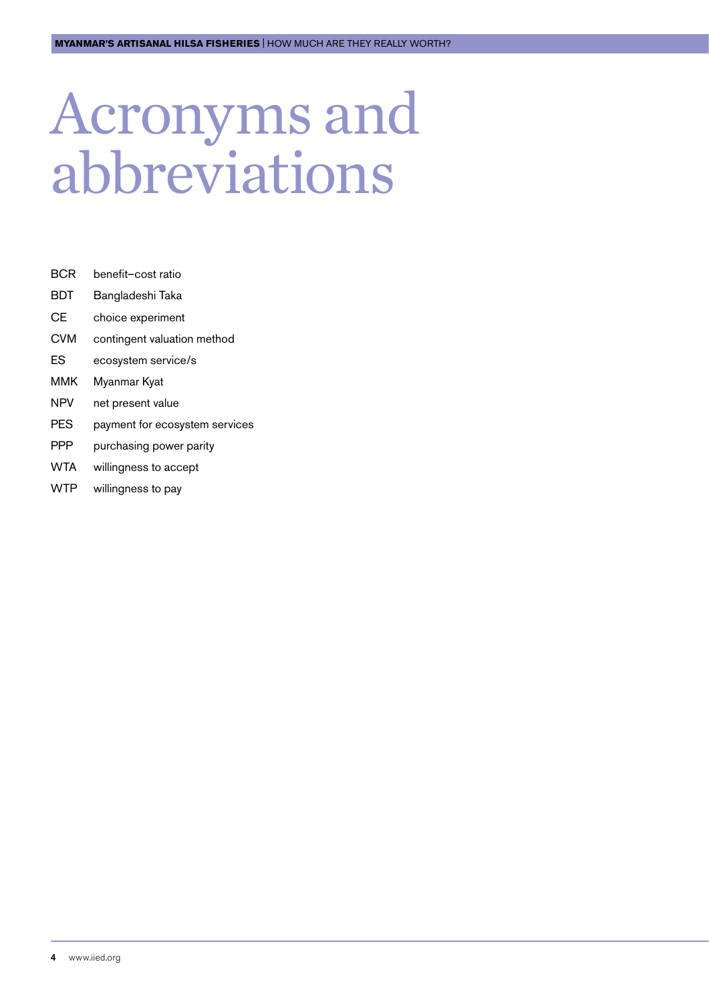## <span id="page-4-0"></span>Acronyms and abbreviations

- BCR benefit–cost ratio
- BDT Bangladeshi Taka
- CE choice experiment
- CVM contingent valuation method
- ES ecosystem service/s
- MMK Myanmar Kyat
- NPV net present value
- PES payment for ecosystem services
- PPP purchasing power parity
- WTA willingness to accept
- WTP willingness to pay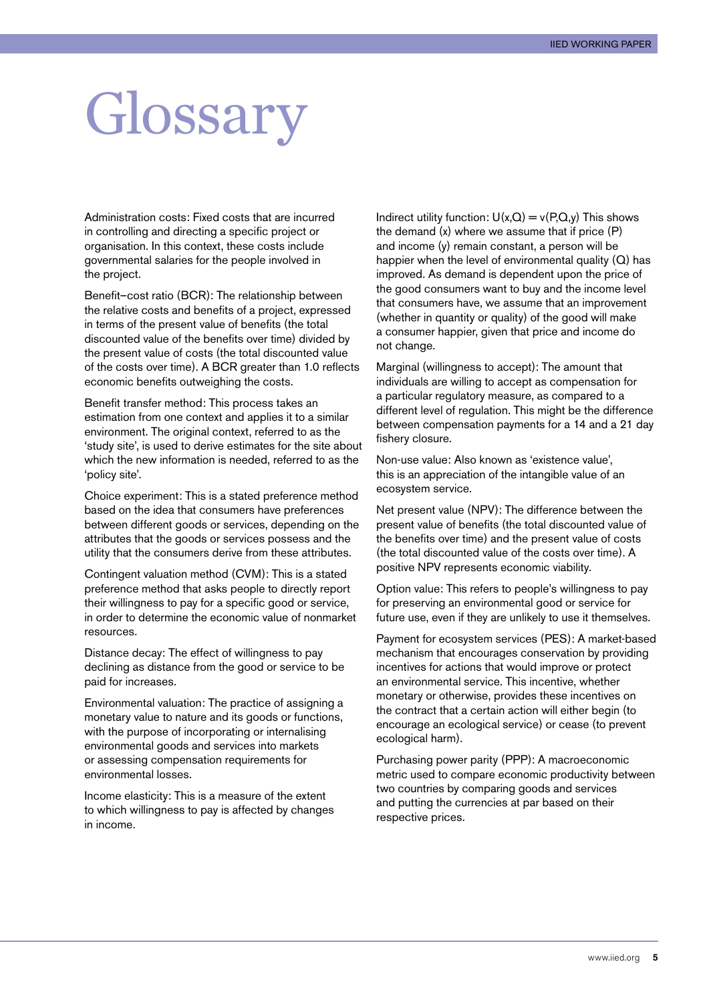## <span id="page-5-0"></span>Glossary

Administration costs: Fixed costs that are incurred in controlling and directing a specific project or organisation. In this context, these costs include governmental salaries for the people involved in the project.

Benefit–cost ratio (BCR): The relationship between the relative costs and benefits of a project, expressed in terms of the present value of benefits (the total discounted value of the benefits over time) divided by the present value of costs (the total discounted value of the costs over time). A BCR greater than 1.0 reflects economic benefits outweighing the costs.

Benefit transfer method: This process takes an estimation from one context and applies it to a similar environment. The original context, referred to as the 'study site', is used to derive estimates for the site about which the new information is needed, referred to as the 'policy site'.

Choice experiment: This is a stated preference method based on the idea that consumers have preferences between different goods or services, depending on the attributes that the goods or services possess and the utility that the consumers derive from these attributes.

Contingent valuation method (CVM): This is a stated preference method that asks people to directly report their willingness to pay for a specific good or service, in order to determine the economic value of nonmarket resources.

Distance decay: The effect of willingness to pay declining as distance from the good or service to be paid for increases.

Environmental valuation: The practice of assigning a monetary value to nature and its goods or functions, with the purpose of incorporating or internalising environmental goods and services into markets or assessing compensation requirements for environmental losses.

Income elasticity: This is a measure of the extent to which willingness to pay is affected by changes in income.

Indirect utility function:  $U(x,Q) = v(P,Q,y)$  This shows the demand (x) where we assume that if price (P) and income (y) remain constant, a person will be happier when the level of environmental quality  $(Q)$  has improved. As demand is dependent upon the price of the good consumers want to buy and the income level that consumers have, we assume that an improvement (whether in quantity or quality) of the good will make a consumer happier, given that price and income do not change.

Marginal (willingness to accept): The amount that individuals are willing to accept as compensation for a particular regulatory measure, as compared to a different level of regulation. This might be the difference between compensation payments for a 14 and a 21 day fishery closure.

Non-use value: Also known as 'existence value', this is an appreciation of the intangible value of an ecosystem service.

Net present value (NPV): The difference between the present value of benefits (the total discounted value of the benefits over time) and the present value of costs (the total discounted value of the costs over time). A positive NPV represents economic viability.

Option value: This refers to people's willingness to pay for preserving an environmental good or service for future use, even if they are unlikely to use it themselves.

Payment for ecosystem services (PES): A market-based mechanism that encourages conservation by providing incentives for actions that would improve or protect an environmental service. This incentive, whether monetary or otherwise, provides these incentives on the contract that a certain action will either begin (to encourage an ecological service) or cease (to prevent ecological harm).

Purchasing power parity (PPP): A macroeconomic metric used to compare economic productivity between two countries by comparing goods and services and putting the currencies at par based on their respective prices.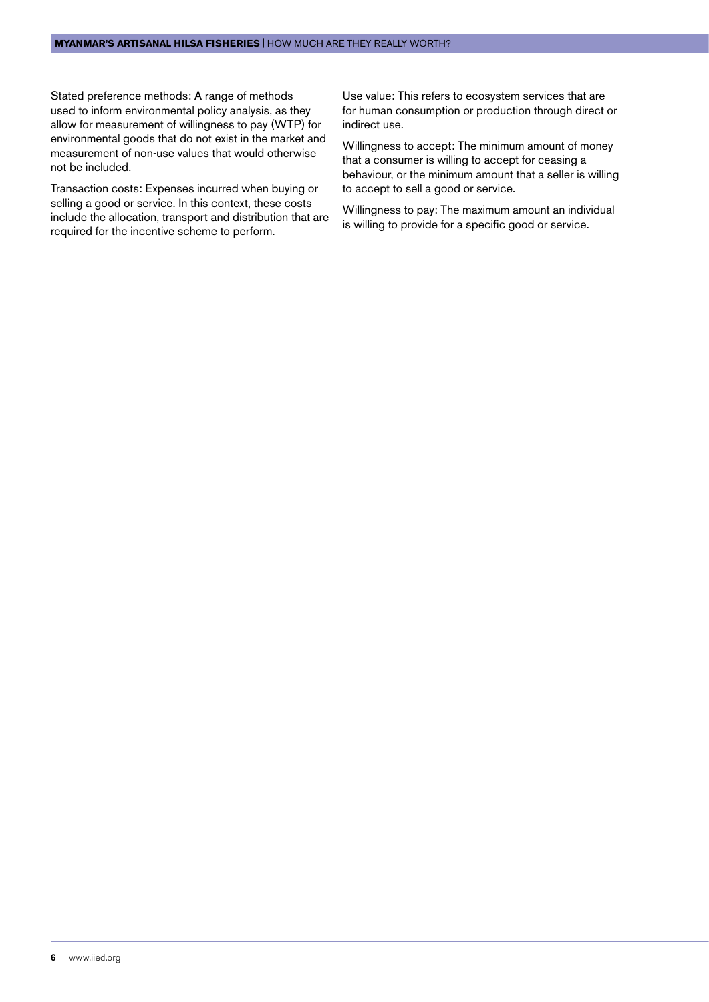Stated preference methods: A range of methods used to inform environmental policy analysis, as they allow for measurement of willingness to pay (WTP) for environmental goods that do not exist in the market and measurement of non-use values that would otherwise not be included.

Transaction costs: Expenses incurred when buying or selling a good or service. In this context, these costs include the allocation, transport and distribution that are required for the incentive scheme to perform.

Use value: This refers to ecosystem services that are for human consumption or production through direct or indirect use.

Willingness to accept: The minimum amount of money that a consumer is willing to accept for ceasing a behaviour, or the minimum amount that a seller is willing to accept to sell a good or service.

Willingness to pay: The maximum amount an individual is willing to provide for a specific good or service.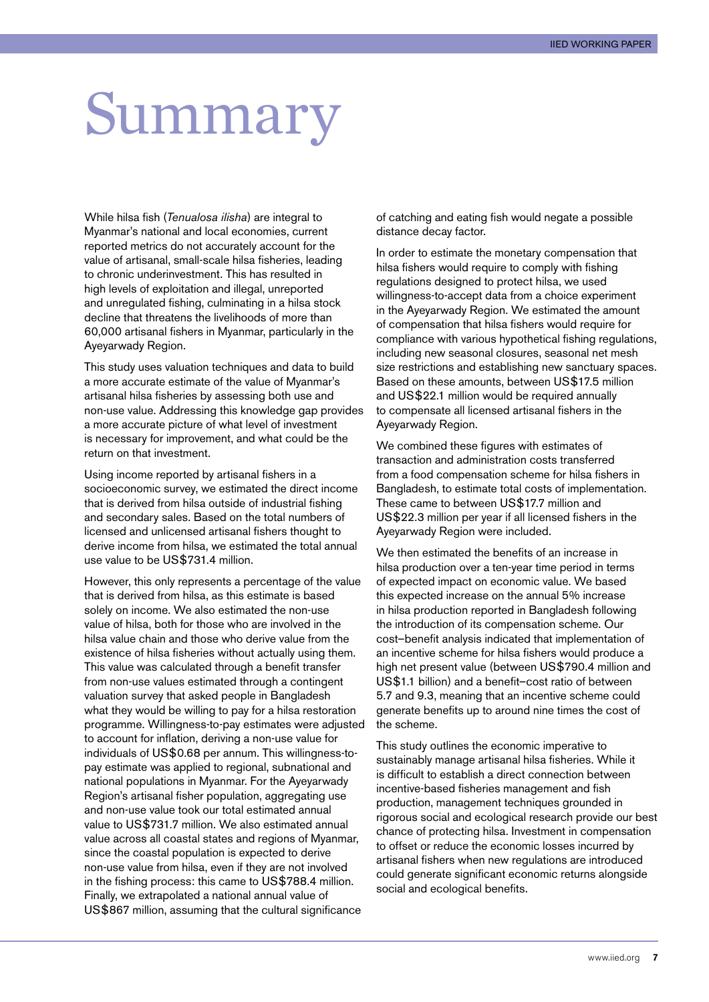## <span id="page-7-0"></span>Summary

While hilsa fish (*Tenualosa ilisha*) are integral to Myanmar's national and local economies, current reported metrics do not accurately account for the value of artisanal, small-scale hilsa fisheries, leading to chronic underinvestment. This has resulted in high levels of exploitation and illegal, unreported and unregulated fishing, culminating in a hilsa stock decline that threatens the livelihoods of more than 60,000 artisanal fishers in Myanmar, particularly in the Ayeyarwady Region.

This study uses valuation techniques and data to build a more accurate estimate of the value of Myanmar's artisanal hilsa fisheries by assessing both use and non-use value. Addressing this knowledge gap provides a more accurate picture of what level of investment is necessary for improvement, and what could be the return on that investment.

Using income reported by artisanal fishers in a socioeconomic survey, we estimated the direct income that is derived from hilsa outside of industrial fishing and secondary sales. Based on the total numbers of licensed and unlicensed artisanal fishers thought to derive income from hilsa, we estimated the total annual use value to be US\$731.4 million.

However, this only represents a percentage of the value that is derived from hilsa, as this estimate is based solely on income. We also estimated the non-use value of hilsa, both for those who are involved in the hilsa value chain and those who derive value from the existence of hilsa fisheries without actually using them. This value was calculated through a benefit transfer from non-use values estimated through a contingent valuation survey that asked people in Bangladesh what they would be willing to pay for a hilsa restoration programme. Willingness-to-pay estimates were adjusted to account for inflation, deriving a non-use value for individuals of US\$0.68 per annum. This willingness-topay estimate was applied to regional, subnational and national populations in Myanmar. For the Ayeyarwady Region's artisanal fisher population, aggregating use and non-use value took our total estimated annual value to US\$731.7 million. We also estimated annual value across all coastal states and regions of Myanmar, since the coastal population is expected to derive non-use value from hilsa, even if they are not involved in the fishing process: this came to US\$788.4 million. Finally, we extrapolated a national annual value of US\$867 million, assuming that the cultural significance

of catching and eating fish would negate a possible distance decay factor.

In order to estimate the monetary compensation that hilsa fishers would require to comply with fishing regulations designed to protect hilsa, we used willingness-to-accept data from a choice experiment in the Ayeyarwady Region. We estimated the amount of compensation that hilsa fishers would require for compliance with various hypothetical fishing regulations, including new seasonal closures, seasonal net mesh size restrictions and establishing new sanctuary spaces. Based on these amounts, between US\$17.5 million and US\$22.1 million would be required annually to compensate all licensed artisanal fishers in the Ayeyarwady Region.

We combined these figures with estimates of transaction and administration costs transferred from a food compensation scheme for hilsa fishers in Bangladesh, to estimate total costs of implementation. These came to between US\$17.7 million and US\$22.3 million per year if all licensed fishers in the Ayeyarwady Region were included.

We then estimated the benefits of an increase in hilsa production over a ten-year time period in terms of expected impact on economic value. We based this expected increase on the annual 5% increase in hilsa production reported in Bangladesh following the introduction of its compensation scheme. Our cost–benefit analysis indicated that implementation of an incentive scheme for hilsa fishers would produce a high net present value (between US\$790.4 million and US\$1.1 billion) and a benefit–cost ratio of between 5.7 and 9.3, meaning that an incentive scheme could generate benefits up to around nine times the cost of the scheme.

This study outlines the economic imperative to sustainably manage artisanal hilsa fisheries. While it is difficult to establish a direct connection between incentive-based fisheries management and fish production, management techniques grounded in rigorous social and ecological research provide our best chance of protecting hilsa. Investment in compensation to offset or reduce the economic losses incurred by artisanal fishers when new regulations are introduced could generate significant economic returns alongside social and ecological benefits.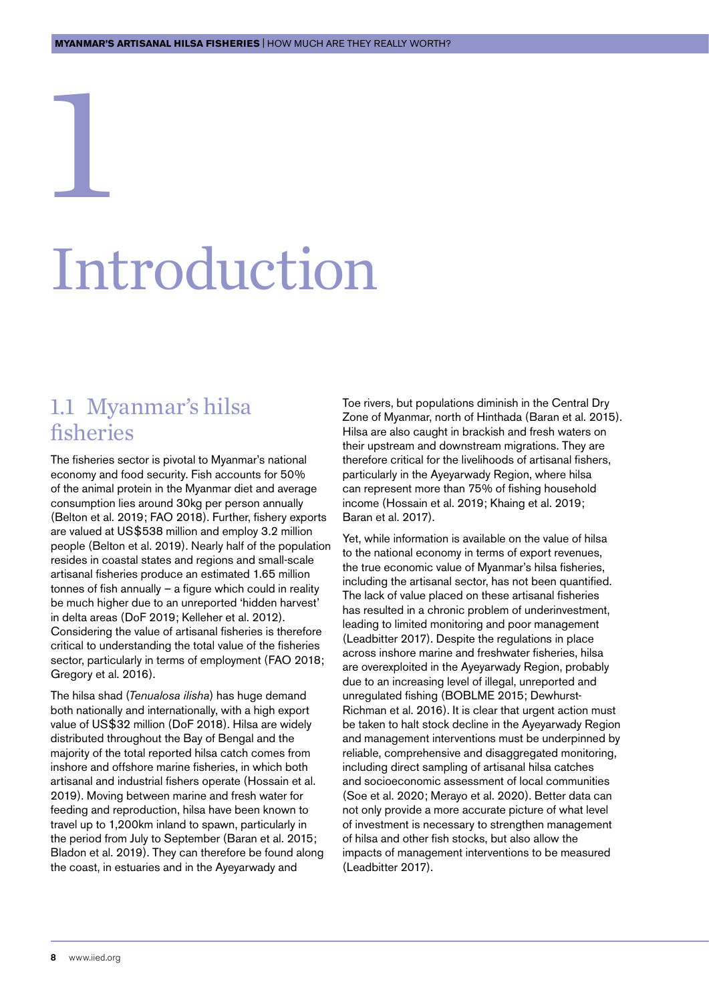## Introduction

#### 1.1 Myanmar's hilsa fisheries

<span id="page-8-0"></span>1

The fisheries sector is pivotal to Myanmar's national economy and food security. Fish accounts for 50% of the animal protein in the Myanmar diet and average consumption lies around 30kg per person annually (Belton et al. 2019; FAO 2018). Further, fishery exports are valued at US\$538 million and employ 3.2 million people (Belton et al. 2019). Nearly half of the population resides in coastal states and regions and small-scale artisanal fisheries produce an estimated 1.65 million tonnes of fish annually – a figure which could in reality be much higher due to an unreported 'hidden harvest' in delta areas (DoF 2019; Kelleher et al. 2012). Considering the value of artisanal fisheries is therefore critical to understanding the total value of the fisheries sector, particularly in terms of employment (FAO 2018; Gregory et al. 2016).

The hilsa shad (*Tenualosa ilisha*) has huge demand both nationally and internationally, with a high export value of US\$32 million (DoF 2018). Hilsa are widely distributed throughout the Bay of Bengal and the majority of the total reported hilsa catch comes from inshore and offshore marine fisheries, in which both artisanal and industrial fishers operate (Hossain et al. 2019). Moving between marine and fresh water for feeding and reproduction, hilsa have been known to travel up to 1,200km inland to spawn, particularly in the period from July to September (Baran et al. 2015; Bladon et al. 2019). They can therefore be found along the coast, in estuaries and in the Ayeyarwady and

Toe rivers, but populations diminish in the Central Dry Zone of Myanmar, north of Hinthada (Baran et al. 2015). Hilsa are also caught in brackish and fresh waters on their upstream and downstream migrations. They are therefore critical for the livelihoods of artisanal fishers, particularly in the Ayeyarwady Region, where hilsa can represent more than 75% of fishing household income (Hossain et al. 2019; Khaing et al. 2019; Baran et al. 2017).

Yet, while information is available on the value of hilsa to the national economy in terms of export revenues, the true economic value of Myanmar's hilsa fisheries, including the artisanal sector, has not been quantified. The lack of value placed on these artisanal fisheries has resulted in a chronic problem of underinvestment, leading to limited monitoring and poor management (Leadbitter 2017). Despite the regulations in place across inshore marine and freshwater fisheries, hilsa are overexploited in the Ayeyarwady Region, probably due to an increasing level of illegal, unreported and unregulated fishing (BOBLME 2015; Dewhurst-Richman et al. 2016). It is clear that urgent action must be taken to halt stock decline in the Ayeyarwady Region and management interventions must be underpinned by reliable, comprehensive and disaggregated monitoring, including direct sampling of artisanal hilsa catches and socioeconomic assessment of local communities (Soe et al. 2020; Merayo et al. 2020). Better data can not only provide a more accurate picture of what level of investment is necessary to strengthen management of hilsa and other fish stocks, but also allow the impacts of management interventions to be measured (Leadbitter 2017).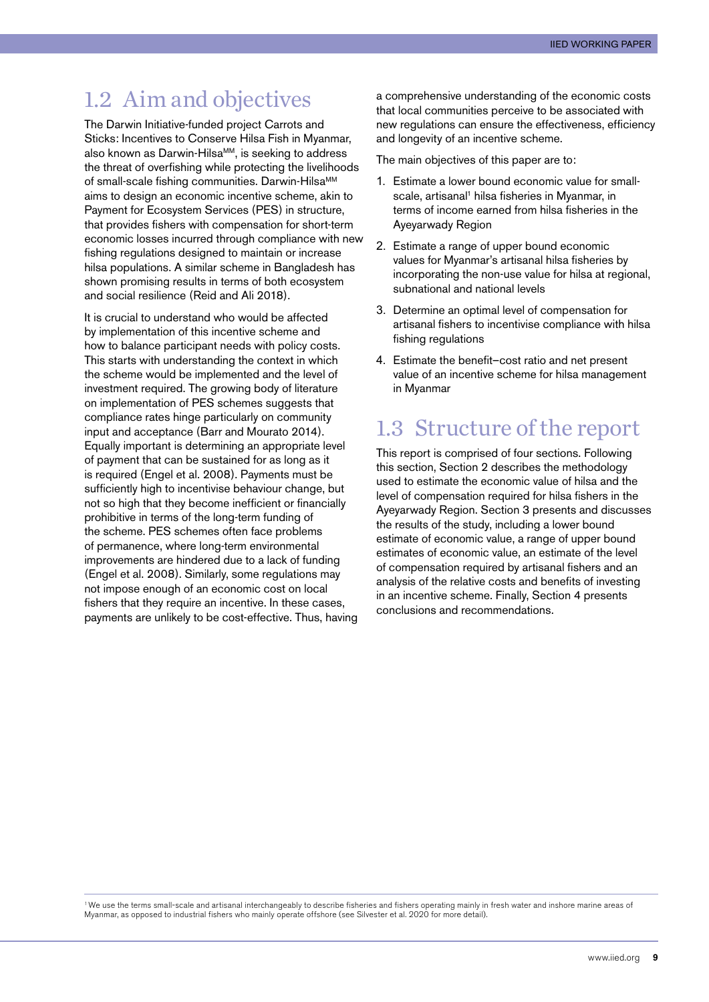#### <span id="page-9-0"></span>1.2 Aim and objectives

The Darwin Initiative-funded project Carrots and Sticks: Incentives to Conserve Hilsa Fish in Myanmar, also known as Darwin-Hilsa<sup>MM</sup>, is seeking to address the threat of overfishing while protecting the livelihoods of small-scale fishing communities. Darwin-Hilsa<sup>MM</sup> aims to design an economic incentive scheme, akin to Payment for Ecosystem Services (PES) in structure, that provides fishers with compensation for short-term economic losses incurred through compliance with new fishing regulations designed to maintain or increase hilsa populations. A similar scheme in Bangladesh has shown promising results in terms of both ecosystem and social resilience (Reid and Ali 2018).

It is crucial to understand who would be affected by implementation of this incentive scheme and how to balance participant needs with policy costs. This starts with understanding the context in which the scheme would be implemented and the level of investment required. The growing body of literature on implementation of PES schemes suggests that compliance rates hinge particularly on community input and acceptance (Barr and Mourato 2014). Equally important is determining an appropriate level of payment that can be sustained for as long as it is required (Engel et al. 2008). Payments must be sufficiently high to incentivise behaviour change, but not so high that they become inefficient or financially prohibitive in terms of the long-term funding of the scheme. PES schemes often face problems of permanence, where long-term environmental improvements are hindered due to a lack of funding (Engel et al. 2008). Similarly, some regulations may not impose enough of an economic cost on local fishers that they require an incentive. In these cases, payments are unlikely to be cost-effective. Thus, having a comprehensive understanding of the economic costs that local communities perceive to be associated with new regulations can ensure the effectiveness, efficiency and longevity of an incentive scheme.

The main objectives of this paper are to:

- 1. Estimate a lower bound economic value for smallscale, artisanal<sup>1</sup> hilsa fisheries in Myanmar, in terms of income earned from hilsa fisheries in the Ayeyarwady Region
- 2. Estimate a range of upper bound economic values for Myanmar's artisanal hilsa fisheries by incorporating the non-use value for hilsa at regional, subnational and national levels
- 3. Determine an optimal level of compensation for artisanal fishers to incentivise compliance with hilsa fishing regulations
- 4. Estimate the benefit–cost ratio and net present value of an incentive scheme for hilsa management in Myanmar

#### 1.3 Structure of the report

This report is comprised of four sections. Following this section, Section 2 describes the methodology used to estimate the economic value of hilsa and the level of compensation required for hilsa fishers in the Ayeyarwady Region. Section 3 presents and discusses the results of the study, including a lower bound estimate of economic value, a range of upper bound estimates of economic value, an estimate of the level of compensation required by artisanal fishers and an analysis of the relative costs and benefits of investing in an incentive scheme. Finally, Section 4 presents conclusions and recommendations.

<sup>1</sup>We use the terms small-scale and artisanal interchangeably to describe fisheries and fishers operating mainly in fresh water and inshore marine areas of Myanmar, as opposed to industrial fishers who mainly operate offshore (see Silvester et al. 2020 for more detail).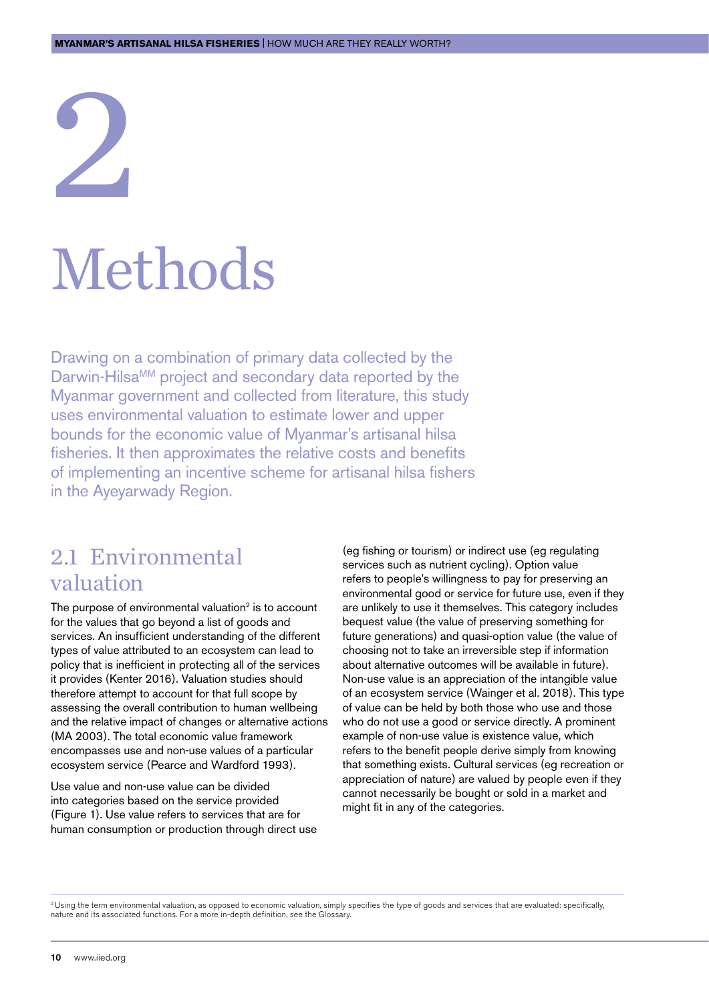## <span id="page-10-0"></span>2 Methods

Drawing on a combination of primary data collected by the Darwin-Hilsa<sup>MM</sup> project and secondary data reported by the Myanmar government and collected from literature, this study uses environmental valuation to estimate lower and upper bounds for the economic value of Myanmar's artisanal hilsa fisheries. It then approximates the relative costs and benefits of implementing an incentive scheme for artisanal hilsa fishers in the Ayeyarwady Region.

#### 2.1 Environmental valuation

The purpose of environmental valuation $2$  is to account for the values that go beyond a list of goods and services. An insufficient understanding of the different types of value attributed to an ecosystem can lead to policy that is inefficient in protecting all of the services it provides (Kenter 2016). Valuation studies should therefore attempt to account for that full scope by assessing the overall contribution to human wellbeing and the relative impact of changes or alternative actions (MA 2003). The total economic value framework encompasses use and non-use values of a particular ecosystem service (Pearce and Wardford 1993).

Use value and non-use value can be divided into categories based on the service provided (Figure 1). Use value refers to services that are for human consumption or production through direct use (eg fishing or tourism) or indirect use (eg regulating services such as nutrient cycling). Option value refers to people's willingness to pay for preserving an environmental good or service for future use, even if they are unlikely to use it themselves. This category includes bequest value (the value of preserving something for future generations) and quasi-option value (the value of choosing not to take an irreversible step if information about alternative outcomes will be available in future). Non-use value is an appreciation of the intangible value of an ecosystem service (Wainger et al. 2018). This type of value can be held by both those who use and those who do not use a good or service directly. A prominent example of non-use value is existence value, which refers to the benefit people derive simply from knowing that something exists. Cultural services (eg recreation or appreciation of nature) are valued by people even if they cannot necessarily be bought or sold in a market and might fit in any of the categories.

<sup>2</sup> Using the term environmental valuation, as opposed to economic valuation, simply specifies the type of goods and services that are evaluated: specifically, nature and its associated functions. For a more in-depth definition, see the Glossary.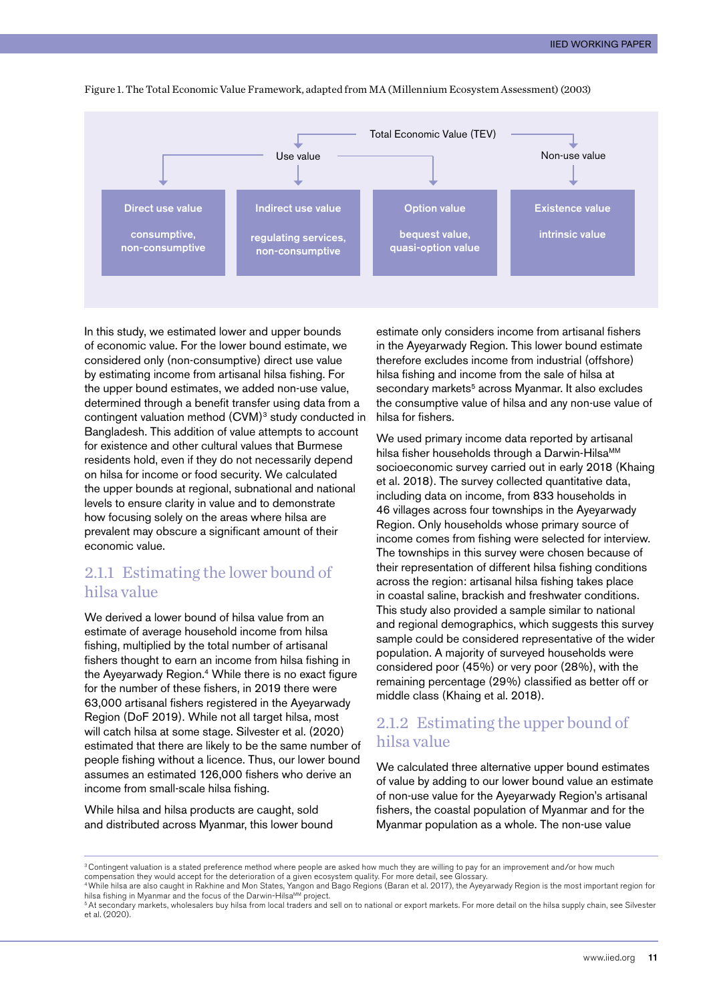

Figure 1. The Total Economic Value Framework, adapted from MA (Millennium Ecosystem Assessment) (2003)

In this study, we estimated lower and upper bounds of economic value. For the lower bound estimate, we considered only (non-consumptive) direct use value by estimating income from artisanal hilsa fishing. For the upper bound estimates, we added non-use value, determined through a benefit transfer using data from a contingent valuation method (CVM)3 study conducted in Bangladesh. This addition of value attempts to account for existence and other cultural values that Burmese residents hold, even if they do not necessarily depend on hilsa for income or food security. We calculated the upper bounds at regional, subnational and national levels to ensure clarity in value and to demonstrate how focusing solely on the areas where hilsa are prevalent may obscure a significant amount of their economic value.

#### 2.1.1 Estimating the lower bound of hilsa value

We derived a lower bound of hilsa value from an estimate of average household income from hilsa fishing, multiplied by the total number of artisanal fishers thought to earn an income from hilsa fishing in the Avevarwady Region.<sup>4</sup> While there is no exact figure for the number of these fishers, in 2019 there were 63,000 artisanal fishers registered in the Ayeyarwady Region (DoF 2019). While not all target hilsa, most will catch hilsa at some stage. Silvester et al. (2020) estimated that there are likely to be the same number of people fishing without a licence. Thus, our lower bound assumes an estimated 126,000 fishers who derive an income from small-scale hilsa fishing.

While hilsa and hilsa products are caught, sold and distributed across Myanmar, this lower bound estimate only considers income from artisanal fishers in the Ayeyarwady Region. This lower bound estimate therefore excludes income from industrial (offshore) hilsa fishing and income from the sale of hilsa at secondary markets<sup>5</sup> across Myanmar. It also excludes the consumptive value of hilsa and any non-use value of hilsa for fishers.

We used primary income data reported by artisanal hilsa fisher households through a Darwin-HilsaMM socioeconomic survey carried out in early 2018 (Khaing et al. 2018). The survey collected quantitative data, including data on income, from 833 households in 46 villages across four townships in the Ayeyarwady Region. Only households whose primary source of income comes from fishing were selected for interview. The townships in this survey were chosen because of their representation of different hilsa fishing conditions across the region: artisanal hilsa fishing takes place in coastal saline, brackish and freshwater conditions. This study also provided a sample similar to national and regional demographics, which suggests this survey sample could be considered representative of the wider population. A majority of surveyed households were considered poor (45%) or very poor (28%), with the remaining percentage (29%) classified as better off or middle class (Khaing et al. 2018).

#### 2.1.2 Estimating the upper bound of hilsa value

We calculated three alternative upper bound estimates of value by adding to our lower bound value an estimate of non-use value for the Ayeyarwady Region's artisanal fishers, the coastal population of Myanmar and for the Myanmar population as a whole. The non-use value

compensation they would accept for the deterioration of a given ecosystem quality. For more detail, see Glossary.<br>"While hilsa are also caught in Rakhine and Mon States, Yangon and Bago Regions (Baran et al. 2017), the Aye hilsa fishing in Myanmar and the focus of the Darwin-Hilsa<sup>MM</sup> project.

<sup>&</sup>lt;sup>3</sup> Contingent valuation is a stated preference method where people are asked how much they are willing to pay for an improvement and/or how much

<sup>&</sup>lt;sup>5</sup> At secondary markets, wholesalers buy hilsa from local traders and sell on to national or export markets. For more detail on the hilsa supply chain, see Silvester et al. (2020).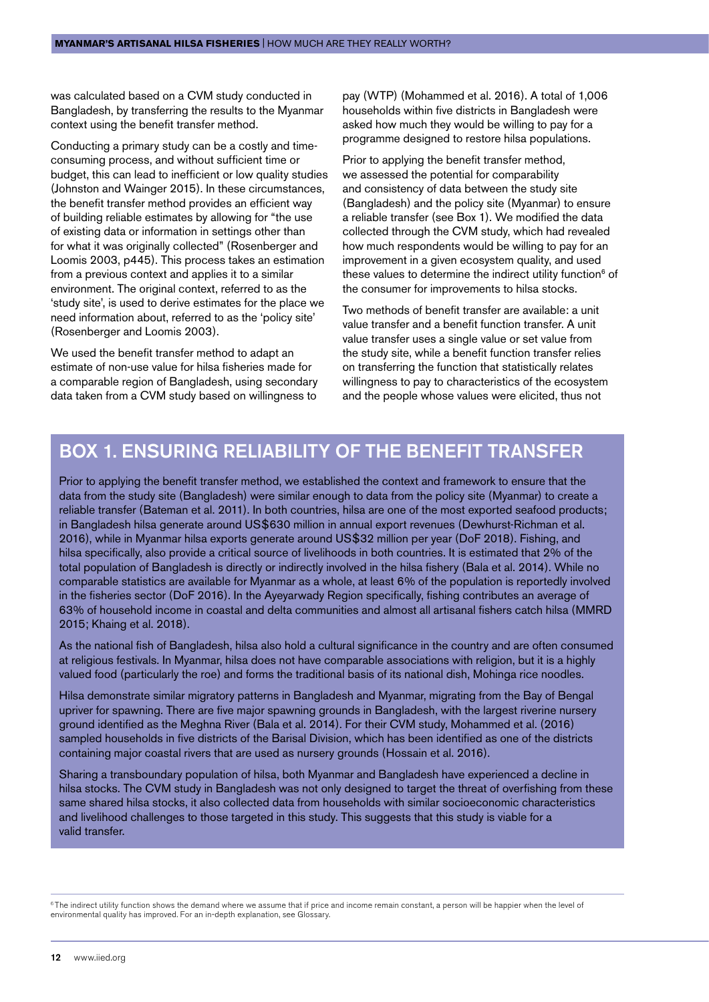was calculated based on a CVM study conducted in Bangladesh, by transferring the results to the Myanmar context using the benefit transfer method.

Conducting a primary study can be a costly and timeconsuming process, and without sufficient time or budget, this can lead to inefficient or low quality studies (Johnston and Wainger 2015). In these circumstances, the benefit transfer method provides an efficient way of building reliable estimates by allowing for "the use of existing data or information in settings other than for what it was originally collected" (Rosenberger and Loomis 2003, p445). This process takes an estimation from a previous context and applies it to a similar environment. The original context, referred to as the 'study site', is used to derive estimates for the place we need information about, referred to as the 'policy site' (Rosenberger and Loomis 2003).

We used the benefit transfer method to adapt an estimate of non-use value for hilsa fisheries made for a comparable region of Bangladesh, using secondary data taken from a CVM study based on willingness to

pay (WTP) (Mohammed et al. 2016). A total of 1,006 households within five districts in Bangladesh were asked how much they would be willing to pay for a programme designed to restore hilsa populations.

Prior to applying the benefit transfer method, we assessed the potential for comparability and consistency of data between the study site (Bangladesh) and the policy site (Myanmar) to ensure a reliable transfer (see Box 1). We modified the data collected through the CVM study, which had revealed how much respondents would be willing to pay for an improvement in a given ecosystem quality, and used these values to determine the indirect utility function<sup>6</sup> of the consumer for improvements to hilsa stocks.

Two methods of benefit transfer are available: a unit value transfer and a benefit function transfer. A unit value transfer uses a single value or set value from the study site, while a benefit function transfer relies on transferring the function that statistically relates willingness to pay to characteristics of the ecosystem and the people whose values were elicited, thus not

#### Box 1. Ensuring reliability of the benefit transfer

Prior to applying the benefit transfer method, we established the context and framework to ensure that the data from the study site (Bangladesh) were similar enough to data from the policy site (Myanmar) to create a reliable transfer (Bateman et al. 2011). In both countries, hilsa are one of the most exported seafood products; in Bangladesh hilsa generate around US\$630 million in annual export revenues (Dewhurst-Richman et al. 2016), while in Myanmar hilsa exports generate around US\$32 million per year (DoF 2018). Fishing, and hilsa specifically, also provide a critical source of livelihoods in both countries. It is estimated that 2% of the total population of Bangladesh is directly or indirectly involved in the hilsa fishery (Bala et al. 2014). While no comparable statistics are available for Myanmar as a whole, at least 6% of the population is reportedly involved in the fisheries sector (DoF 2016). In the Ayeyarwady Region specifically, fishing contributes an average of 63% of household income in coastal and delta communities and almost all artisanal fishers catch hilsa (MMRD 2015; Khaing et al. 2018).

As the national fish of Bangladesh, hilsa also hold a cultural significance in the country and are often consumed at religious festivals. In Myanmar, hilsa does not have comparable associations with religion, but it is a highly valued food (particularly the roe) and forms the traditional basis of its national dish, Mohinga rice noodles.

Hilsa demonstrate similar migratory patterns in Bangladesh and Myanmar, migrating from the Bay of Bengal upriver for spawning. There are five major spawning grounds in Bangladesh, with the largest riverine nursery ground identified as the Meghna River (Bala et al. 2014). For their CVM study, Mohammed et al. (2016) sampled households in five districts of the Barisal Division, which has been identified as one of the districts containing major coastal rivers that are used as nursery grounds (Hossain et al. 2016).

Sharing a transboundary population of hilsa, both Myanmar and Bangladesh have experienced a decline in hilsa stocks. The CVM study in Bangladesh was not only designed to target the threat of overfishing from these same shared hilsa stocks, it also collected data from households with similar socioeconomic characteristics and livelihood challenges to those targeted in this study. This suggests that this study is viable for a valid transfer.

<sup>6</sup> The indirect utility function shows the demand where we assume that if price and income remain constant, a person will be happier when the level of environmental quality has improved. For an in-depth explanation, see Glossary.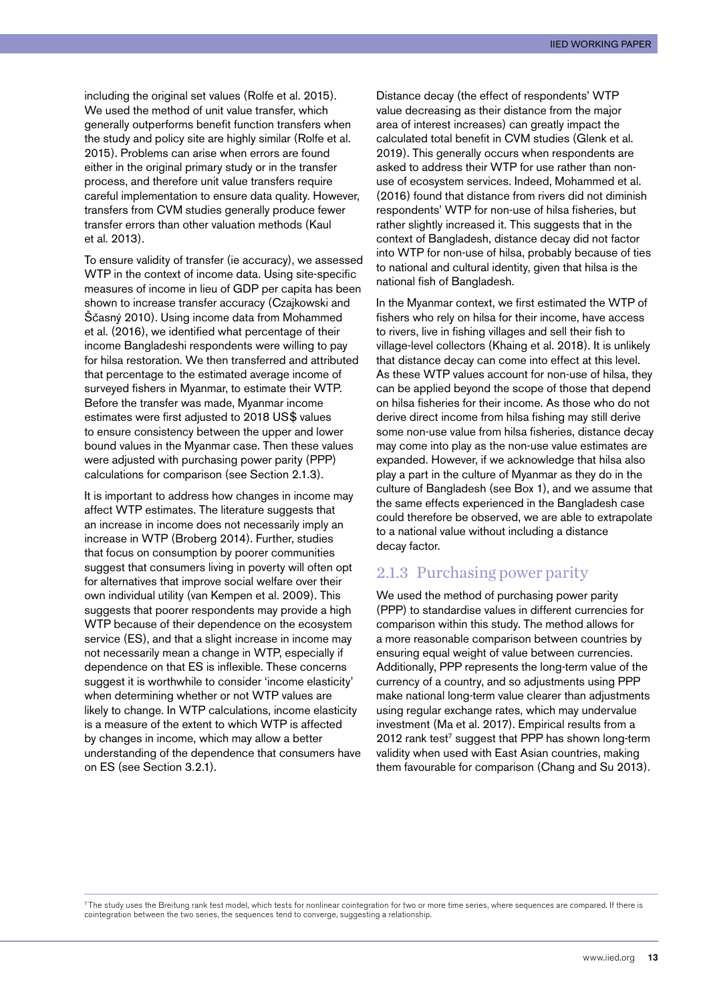including the original set values (Rolfe et al. 2015). We used the method of unit value transfer, which generally outperforms benefit function transfers when the study and policy site are highly similar (Rolfe et al. 2015). Problems can arise when errors are found either in the original primary study or in the transfer process, and therefore unit value transfers require careful implementation to ensure data quality. However, transfers from CVM studies generally produce fewer transfer errors than other valuation methods (Kaul et al. 2013).

To ensure validity of transfer (ie accuracy), we assessed WTP in the context of income data. Using site-specific measures of income in lieu of GDP per capita has been shown to increase transfer accuracy (Czajkowski and Ščasný 2010). Using income data from Mohammed et al. (2016), we identified what percentage of their income Bangladeshi respondents were willing to pay for hilsa restoration. We then transferred and attributed that percentage to the estimated average income of surveyed fishers in Myanmar, to estimate their WTP. Before the transfer was made, Myanmar income estimates were first adjusted to 2018 US\$ values to ensure consistency between the upper and lower bound values in the Myanmar case. Then these values were adjusted with purchasing power parity (PPP) calculations for comparison (see Section 2.1.3).

It is important to address how changes in income may affect WTP estimates. The literature suggests that an increase in income does not necessarily imply an increase in WTP (Broberg 2014). Further, studies that focus on consumption by poorer communities suggest that consumers living in poverty will often opt for alternatives that improve social welfare over their own individual utility (van Kempen et al. 2009). This suggests that poorer respondents may provide a high WTP because of their dependence on the ecosystem service (ES), and that a slight increase in income may not necessarily mean a change in WTP, especially if dependence on that ES is inflexible. These concerns suggest it is worthwhile to consider 'income elasticity' when determining whether or not WTP values are likely to change. In WTP calculations, income elasticity is a measure of the extent to which WTP is affected by changes in income, which may allow a better understanding of the dependence that consumers have on ES (see Section 3.2.1).

Distance decay (the effect of respondents' WTP value decreasing as their distance from the major area of interest increases) can greatly impact the calculated total benefit in CVM studies (Glenk et al. 2019). This generally occurs when respondents are asked to address their WTP for use rather than nonuse of ecosystem services. Indeed, Mohammed et al. (2016) found that distance from rivers did not diminish respondents' WTP for non-use of hilsa fisheries, but rather slightly increased it. This suggests that in the context of Bangladesh, distance decay did not factor into WTP for non-use of hilsa, probably because of ties to national and cultural identity, given that hilsa is the national fish of Bangladesh.

In the Myanmar context, we first estimated the WTP of fishers who rely on hilsa for their income, have access to rivers, live in fishing villages and sell their fish to village-level collectors (Khaing et al. 2018). It is unlikely that distance decay can come into effect at this level. As these WTP values account for non-use of hilsa, they can be applied beyond the scope of those that depend on hilsa fisheries for their income. As those who do not derive direct income from hilsa fishing may still derive some non-use value from hilsa fisheries, distance decay may come into play as the non-use value estimates are expanded. However, if we acknowledge that hilsa also play a part in the culture of Myanmar as they do in the culture of Bangladesh (see Box 1), and we assume that the same effects experienced in the Bangladesh case could therefore be observed, we are able to extrapolate to a national value without including a distance decay factor.

#### 2.1.3 Purchasing power parity

We used the method of purchasing power parity (PPP) to standardise values in different currencies for comparison within this study. The method allows for a more reasonable comparison between countries by ensuring equal weight of value between currencies. Additionally, PPP represents the long-term value of the currency of a country, and so adjustments using PPP make national long-term value clearer than adjustments using regular exchange rates, which may undervalue investment (Ma et al. 2017). Empirical results from a 2012 rank test<sup>7</sup> suggest that PPP has shown long-term validity when used with East Asian countries, making them favourable for comparison (Chang and Su 2013).

<sup>7</sup> The study uses the Breitung rank test model, which tests for nonlinear cointegration for two or more time series, where sequences are compared. If there is cointegration between the two series, the sequences tend to converge, suggesting a relationship.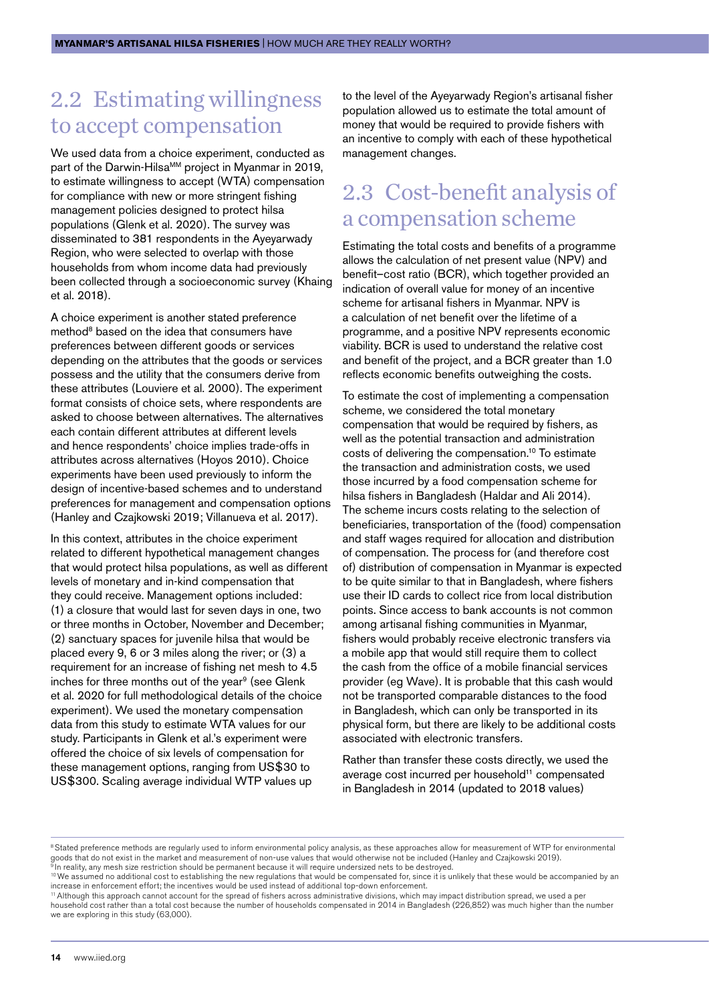#### <span id="page-14-0"></span>2.2 Estimating willingness to accept compensation

We used data from a choice experiment, conducted as part of the Darwin-Hilsa<sup>MM</sup> project in Myanmar in 2019, to estimate willingness to accept (WTA) compensation for compliance with new or more stringent fishing management policies designed to protect hilsa populations (Glenk et al. 2020). The survey was disseminated to 381 respondents in the Ayeyarwady Region, who were selected to overlap with those households from whom income data had previously been collected through a socioeconomic survey (Khaing et al. 2018).

A choice experiment is another stated preference method<sup>8</sup> based on the idea that consumers have preferences between different goods or services depending on the attributes that the goods or services possess and the utility that the consumers derive from these attributes (Louviere et al. 2000). The experiment format consists of choice sets, where respondents are asked to choose between alternatives. The alternatives each contain different attributes at different levels and hence respondents' choice implies trade-offs in attributes across alternatives (Hoyos 2010). Choice experiments have been used previously to inform the design of incentive-based schemes and to understand preferences for management and compensation options (Hanley and Czajkowski 2019; Villanueva et al. 2017).

In this context, attributes in the choice experiment related to different hypothetical management changes that would protect hilsa populations, as well as different levels of monetary and in-kind compensation that they could receive. Management options included: (1) a closure that would last for seven days in one, two or three months in October, November and December; (2) sanctuary spaces for juvenile hilsa that would be placed every 9, 6 or 3 miles along the river; or (3) a requirement for an increase of fishing net mesh to 4.5 inches for three months out of the year<sup>9</sup> (see Glenk et al. 2020 for full methodological details of the choice experiment). We used the monetary compensation data from this study to estimate WTA values for our study. Participants in Glenk et al.'s experiment were offered the choice of six levels of compensation for these management options, ranging from US\$30 to US\$300. Scaling average individual WTP values up

to the level of the Ayeyarwady Region's artisanal fisher population allowed us to estimate the total amount of money that would be required to provide fishers with an incentive to comply with each of these hypothetical management changes.

#### 2.3 Cost-benefit analysis of a compensation scheme

Estimating the total costs and benefits of a programme allows the calculation of net present value (NPV) and benefit–cost ratio (BCR), which together provided an indication of overall value for money of an incentive scheme for artisanal fishers in Myanmar. NPV is a calculation of net benefit over the lifetime of a programme, and a positive NPV represents economic viability. BCR is used to understand the relative cost and benefit of the project, and a BCR greater than 1.0 reflects economic benefits outweighing the costs.

To estimate the cost of implementing a compensation scheme, we considered the total monetary compensation that would be required by fishers, as well as the potential transaction and administration costs of delivering the compensation.10 To estimate the transaction and administration costs, we used those incurred by a food compensation scheme for hilsa fishers in Bangladesh (Haldar and Ali 2014). The scheme incurs costs relating to the selection of beneficiaries, transportation of the (food) compensation and staff wages required for allocation and distribution of compensation. The process for (and therefore cost of) distribution of compensation in Myanmar is expected to be quite similar to that in Bangladesh, where fishers use their ID cards to collect rice from local distribution points. Since access to bank accounts is not common among artisanal fishing communities in Myanmar, fishers would probably receive electronic transfers via a mobile app that would still require them to collect the cash from the office of a mobile financial services provider (eg Wave). It is probable that this cash would not be transported comparable distances to the food in Bangladesh, which can only be transported in its physical form, but there are likely to be additional costs associated with electronic transfers.

Rather than transfer these costs directly, we used the average cost incurred per household<sup>11</sup> compensated in Bangladesh in 2014 (updated to 2018 values)

<sup>&</sup>lt;sup>8</sup> Stated preference methods are regularly used to inform environmental policy analysis, as these approaches allow for measurement of WTP for environmental goods that do not exist in the market and measurement of non-use values that would otherwise not be included (Hanley and Czajkowski 2019).  $^{\rm 8}$ In reality, any mesh size restriction should be permanent because it will require undersized nets to be destroyed.

<sup>&</sup>lt;sup>10</sup> We assumed no additional cost to establishing the new regulations that would be compensated for, since it is unlikely that these would be accompanied by an increase in enforcement effort; the incentives would be used instead of additional top-down enforcement.

 $11$  Although this approach cannot account for the spread of fishers across administrative divisions, which may impact distribution spread, we used a per household cost rather than a total cost because the number of households compensated in 2014 in Bangladesh (226,852) was much higher than the number we are exploring in this study (63,000).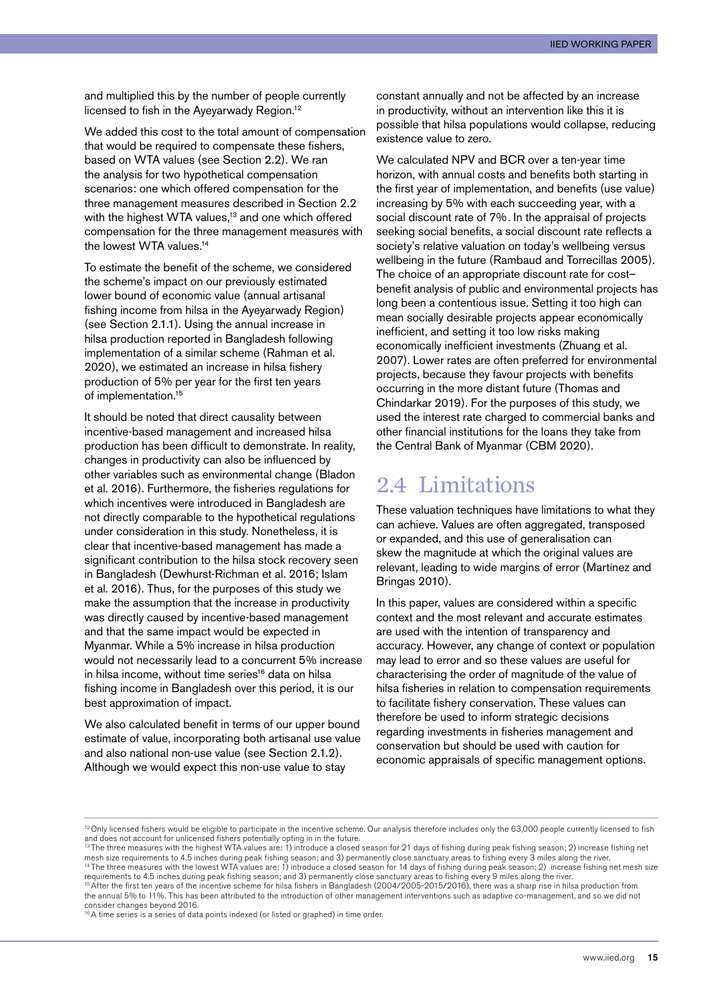<span id="page-15-0"></span>and multiplied this by the number of people currently licensed to fish in the Ayeyarwady Region.12

We added this cost to the total amount of compensation that would be required to compensate these fishers, based on WTA values (see Section 2.2). We ran the analysis for two hypothetical compensation scenarios: one which offered compensation for the three management measures described in Section 2.2 with the highest WTA values,<sup>13</sup> and one which offered compensation for the three management measures with the lowest WTA values.<sup>14</sup>

To estimate the benefit of the scheme, we considered the scheme's impact on our previously estimated lower bound of economic value (annual artisanal fishing income from hilsa in the Ayeyarwady Region) (see Section 2.1.1). Using the annual increase in hilsa production reported in Bangladesh following implementation of a similar scheme (Rahman et al. 2020), we estimated an increase in hilsa fishery production of 5% per year for the first ten years of implementation.15

It should be noted that direct causality between incentive-based management and increased hilsa production has been difficult to demonstrate. In reality, changes in productivity can also be influenced by other variables such as environmental change (Bladon et al. 2016). Furthermore, the fisheries regulations for which incentives were introduced in Bangladesh are not directly comparable to the hypothetical regulations under consideration in this study. Nonetheless, it is clear that incentive-based management has made a significant contribution to the hilsa stock recovery seen in Bangladesh (Dewhurst-Richman et al. 2016; Islam et al. 2016). Thus, for the purposes of this study we make the assumption that the increase in productivity was directly caused by incentive-based management and that the same impact would be expected in Myanmar. While a 5% increase in hilsa production would not necessarily lead to a concurrent 5% increase in hilsa income, without time series<sup>16</sup> data on hilsa fishing income in Bangladesh over this period, it is our best approximation of impact.

We also calculated benefit in terms of our upper bound estimate of value, incorporating both artisanal use value and also national non-use value (see Section 2.1.2). Although we would expect this non-use value to stay

constant annually and not be affected by an increase in productivity, without an intervention like this it is possible that hilsa populations would collapse, reducing existence value to zero.

We calculated NPV and BCR over a ten-year time horizon, with annual costs and benefits both starting in the first year of implementation, and benefits (use value) increasing by 5% with each succeeding year, with a social discount rate of 7%. In the appraisal of projects seeking social benefits, a social discount rate reflects a society's relative valuation on today's wellbeing versus wellbeing in the future (Rambaud and Torrecillas 2005). The choice of an appropriate discount rate for cost– benefit analysis of public and environmental projects has long been a contentious issue. Setting it too high can mean socially desirable projects appear economically inefficient, and setting it too low risks making economically inefficient investments (Zhuang et al. 2007). Lower rates are often preferred for environmental projects, because they favour projects with benefits occurring in the more distant future (Thomas and Chindarkar 2019). For the purposes of this study, we used the interest rate charged to commercial banks and other financial institutions for the loans they take from the Central Bank of Myanmar (CBM 2020).

#### 2.4 Limitations

These valuation techniques have limitations to what they can achieve. Values are often aggregated, transposed or expanded, and this use of generalisation can skew the magnitude at which the original values are relevant, leading to wide margins of error (Martínez and Bringas 2010).

In this paper, values are considered within a specific context and the most relevant and accurate estimates are used with the intention of transparency and accuracy. However, any change of context or population may lead to error and so these values are useful for characterising the order of magnitude of the value of hilsa fisheries in relation to compensation requirements to facilitate fishery conservation. These values can therefore be used to inform strategic decisions regarding investments in fisheries management and conservation but should be used with caution for economic appraisals of specific management options.

 $12$  Only licensed fishers would be eligible to participate in the incentive scheme. Our analysis therefore includes only the 63,000 people currently licensed to fish and does not account for unlicensed fishers potentially opting in in the future.

<sup>&</sup>lt;sup>13</sup> The three measures with the highest WTA values are: 1) introduce a closed season for 21 days of fishing during peak fishing season; 2) increase fishing net mesh size requirements to 4.5 inches during peak fishing season; and 3) permanently close sanctuary areas to fishing every 3 miles along the river.<br><sup>14</sup>The three measures with the lowest WTA values are: 1) introduce a clos requirements to 4.5 inches during peak fishing season; and 3) permanently close sanctuary areas to fishing every 9 miles along the river.<br><sup>15</sup> After the first ten years of the incentive scheme for hilsa fishers in Banglade the annual 5% to 11%. This has been attributed to the introduction of other management interventions such as adaptive co-management, and so we did not consider changes beyond 2016.

<sup>&</sup>lt;sup>16</sup> A time series is a series of data points indexed (or listed or graphed) in time order.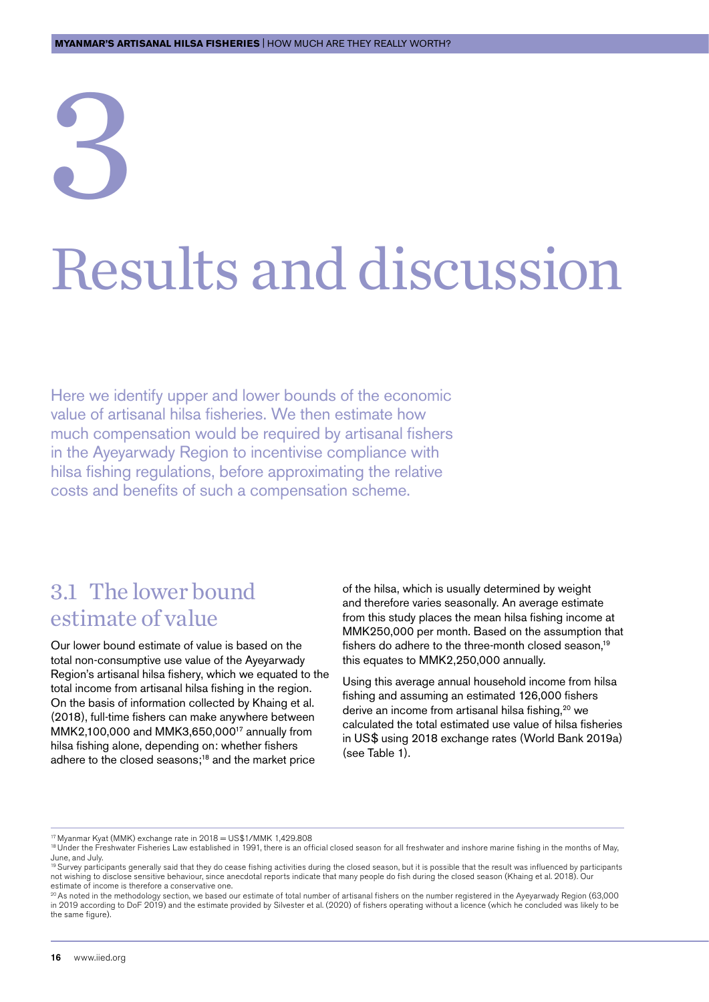# <span id="page-16-0"></span>3 Results and discussion

Here we identify upper and lower bounds of the economic value of artisanal hilsa fisheries. We then estimate how much compensation would be required by artisanal fishers in the Ayeyarwady Region to incentivise compliance with hilsa fishing regulations, before approximating the relative costs and benefits of such a compensation scheme.

#### 3.1 The lower bound estimate of value

Our lower bound estimate of value is based on the total non-consumptive use value of the Ayeyarwady Region's artisanal hilsa fishery, which we equated to the total income from artisanal hilsa fishing in the region. On the basis of information collected by Khaing et al. (2018), full-time fishers can make anywhere between MMK2,100,000 and MMK3,650,00017 annually from hilsa fishing alone, depending on: whether fishers adhere to the closed seasons;<sup>18</sup> and the market price

of the hilsa, which is usually determined by weight and therefore varies seasonally. An average estimate from this study places the mean hilsa fishing income at MMK250,000 per month. Based on the assumption that fishers do adhere to the three-month closed season.<sup>19</sup> this equates to MMK2,250,000 annually.

Using this average annual household income from hilsa fishing and assuming an estimated 126,000 fishers derive an income from artisanal hilsa fishing,<sup>20</sup> we calculated the total estimated use value of hilsa fisheries in US\$ using 2018 exchange rates (World Bank 2019a) (see Table 1).

17 Myanmar Kyat (MMK) exchange rate in 2018 = US\$1/MMK 1,429.808

<sup>&</sup>lt;sup>18</sup> Under the Freshwater Fisheries Law established in 1991, there is an official closed season for all freshwater and inshore marine fishing in the months of May, June, and July.<br><sup>19</sup> Survey participants generally said that they do cease fishing activities during the closed season, but it is possible that the result was influenced by participants

not wishing to disclose sensitive behaviour, since anecdotal reports indicate that many people do fish during the closed season (Khaing et al. 2018). Our estimate of income is therefore a conservative one.

<sup>20</sup> As noted in the methodology section, we based our estimate of total number of artisanal fishers on the number registered in the Ayeyarwady Region (63,000 in 2019 according to DoF 2019) and the estimate provided by Silvester et al. (2020) of fishers operating without a licence (which he concluded was likely to be the same figure).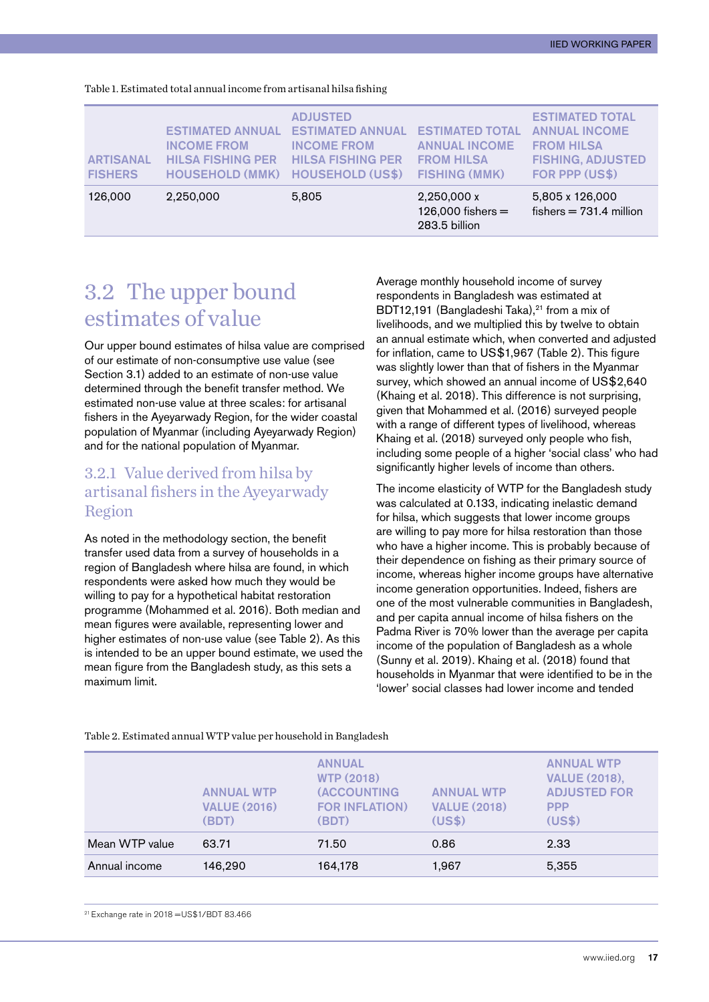| <b>ARTISANAL</b><br><b>FISHERS</b> | <b>ESTIMATED ANNUAL</b><br><b>INCOME FROM</b><br><b>HILSA FISHING PER</b><br><b>HOUSEHOLD (MMK)</b> | <b>ADJUSTED</b><br><b>ESTIMATED ANNUAL</b><br><b>INCOME FROM</b><br><b>HILSA FISHING PER</b><br><b>HOUSEHOLD (US\$)</b> | <b>ESTIMATED TOTAL</b><br><b>ANNUAL INCOME</b><br><b>FROM HILSA</b><br><b>FISHING (MMK)</b> | <b>ESTIMATED TOTAL</b><br><b>ANNUAL INCOME</b><br><b>FROM HILSA</b><br><b>FISHING, ADJUSTED</b><br><b>FOR PPP (US\$)</b> |
|------------------------------------|-----------------------------------------------------------------------------------------------------|-------------------------------------------------------------------------------------------------------------------------|---------------------------------------------------------------------------------------------|--------------------------------------------------------------------------------------------------------------------------|
| 126,000                            | 2,250,000                                                                                           | 5,805                                                                                                                   | 2,250,000 x<br>126,000 fishers $=$<br>283.5 billion                                         | 5,805 x 126,000<br>fishers $= 731.4$ million                                                                             |

<span id="page-17-0"></span>Table 1. Estimated total annual income from artisanal hilsa fishing

#### 3.2 The upper bound estimates of value

Our upper bound estimates of hilsa value are comprised of our estimate of non-consumptive use value (see Section 3.1) added to an estimate of non-use value determined through the benefit transfer method. We estimated non-use value at three scales: for artisanal fishers in the Ayeyarwady Region, for the wider coastal population of Myanmar (including Ayeyarwady Region) and for the national population of Myanmar.

#### 3.2.1 Value derived from hilsa by artisanal fishers in the Ayeyarwady Region

As noted in the methodology section, the benefit transfer used data from a survey of households in a region of Bangladesh where hilsa are found, in which respondents were asked how much they would be willing to pay for a hypothetical habitat restoration programme (Mohammed et al. 2016). Both median and mean figures were available, representing lower and higher estimates of non-use value (see Table 2). As this is intended to be an upper bound estimate, we used the mean figure from the Bangladesh study, as this sets a maximum limit.

Average monthly household income of survey respondents in Bangladesh was estimated at BDT12,191 (Bangladeshi Taka),<sup>21</sup> from a mix of livelihoods, and we multiplied this by twelve to obtain an annual estimate which, when converted and adjusted for inflation, came to US\$1,967 (Table 2). This figure was slightly lower than that of fishers in the Myanmar survey, which showed an annual income of US\$2,640 (Khaing et al. 2018). This difference is not surprising, given that Mohammed et al. (2016) surveyed people with a range of different types of livelihood, whereas Khaing et al. (2018) surveyed only people who fish, including some people of a higher 'social class' who had significantly higher levels of income than others.

The income elasticity of WTP for the Bangladesh study was calculated at 0.133, indicating inelastic demand for hilsa, which suggests that lower income groups are willing to pay more for hilsa restoration than those who have a higher income. This is probably because of their dependence on fishing as their primary source of income, whereas higher income groups have alternative income generation opportunities. Indeed, fishers are one of the most vulnerable communities in Bangladesh, and per capita annual income of hilsa fishers on the Padma River is 70% lower than the average per capita income of the population of Bangladesh as a whole (Sunny et al. 2019). Khaing et al. (2018) found that households in Myanmar that were identified to be in the 'lower' social classes had lower income and tended

|                | <b>ANNUAL WTP</b><br><b>VALUE (2016)</b><br>(BDT) | <b>ANNUAL</b><br><b>WTP (2018)</b><br><b>(ACCOUNTING</b><br><b>FOR INFLATION)</b><br>(BDT) | <b>ANNUAL WTP</b><br><b>VALUE (2018)</b><br>(US\$) | <b>ANNUAL WTP</b><br><b>VALUE (2018),</b><br><b>ADJUSTED FOR</b><br><b>PPP</b><br>(US\$) |
|----------------|---------------------------------------------------|--------------------------------------------------------------------------------------------|----------------------------------------------------|------------------------------------------------------------------------------------------|
| Mean WTP value | 63.71                                             | 71.50                                                                                      | 0.86                                               | 2.33                                                                                     |
| Annual income  | 146,290                                           | 164,178                                                                                    | 1,967                                              | 5,355                                                                                    |

Table 2. Estimated annual WTP value per household in Bangladesh

21 Exchange rate in 2018 =US\$1/BDT 83.466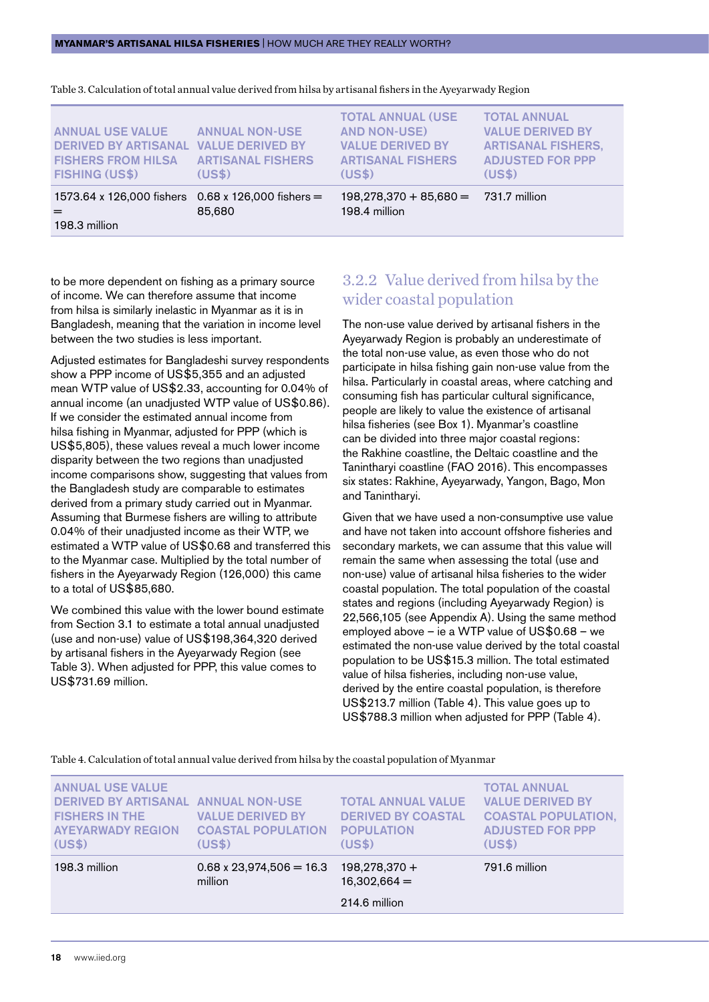| <b>ANNUAL USE VALUE</b><br><b>DERIVED BY ARTISANAL VALUE DERIVED BY</b><br><b>FISHERS FROM HILSA</b><br><b>FISHING (US\$)</b> | <b>ANNUAL NON-USE</b><br><b>ARTISANAL FISHERS</b><br>(USS) | <b>TOTAL ANNUAL (USE</b><br><b>AND NON-USE)</b><br><b>VALUE DERIVED BY</b><br><b>ARTISANAL FISHERS</b><br>(US\$) | <b>TOTAL ANNUAL</b><br><b>VALUE DERIVED BY</b><br><b>ARTISANAL FISHERS,</b><br><b>ADJUSTED FOR PPP</b><br>(US\$) |
|-------------------------------------------------------------------------------------------------------------------------------|------------------------------------------------------------|------------------------------------------------------------------------------------------------------------------|------------------------------------------------------------------------------------------------------------------|
| 1573.64 x 126,000 fishers $0.68$ x 126,000 fishers =<br>198.3 million                                                         | 85,680                                                     | $198,278,370 + 85,680 =$<br>198.4 million                                                                        | 731.7 million                                                                                                    |

Table 3. Calculation of total annual value derived from hilsa by artisanal fishers in the Ayeyarwady Region

to be more dependent on fishing as a primary source of income. We can therefore assume that income from hilsa is similarly inelastic in Myanmar as it is in Bangladesh, meaning that the variation in income level between the two studies is less important.

Adjusted estimates for Bangladeshi survey respondents show a PPP income of US\$5,355 and an adjusted mean WTP value of US\$2.33, accounting for 0.04% of annual income (an unadjusted WTP value of US\$0.86). If we consider the estimated annual income from hilsa fishing in Myanmar, adjusted for PPP (which is US\$5,805), these values reveal a much lower income disparity between the two regions than unadjusted income comparisons show, suggesting that values from the Bangladesh study are comparable to estimates derived from a primary study carried out in Myanmar. Assuming that Burmese fishers are willing to attribute 0.04% of their unadjusted income as their WTP, we estimated a WTP value of US\$0.68 and transferred this to the Myanmar case. Multiplied by the total number of fishers in the Ayeyarwady Region (126,000) this came to a total of US\$85,680.

We combined this value with the lower bound estimate from Section 3.1 to estimate a total annual unadjusted (use and non-use) value of US\$198,364,320 derived by artisanal fishers in the Ayeyarwady Region (see Table 3). When adjusted for PPP, this value comes to US\$731.69 million.

#### 3.2.2 Value derived from hilsa by the wider coastal population

The non-use value derived by artisanal fishers in the Ayeyarwady Region is probably an underestimate of the total non-use value, as even those who do not participate in hilsa fishing gain non-use value from the hilsa. Particularly in coastal areas, where catching and consuming fish has particular cultural significance, people are likely to value the existence of artisanal hilsa fisheries (see Box 1). Myanmar's coastline can be divided into three major coastal regions: the Rakhine coastline, the Deltaic coastline and the Tanintharyi coastline (FAO 2016). This encompasses six states: Rakhine, Ayeyarwady, Yangon, Bago, Mon and Tanintharyi.

Given that we have used a non-consumptive use value and have not taken into account offshore fisheries and secondary markets, we can assume that this value will remain the same when assessing the total (use and non-use) value of artisanal hilsa fisheries to the wider coastal population. The total population of the coastal states and regions (including Ayeyarwady Region) is 22,566,105 (see Appendix A). Using the same method employed above – ie a WTP value of US\$0.68 – we estimated the non-use value derived by the total coastal population to be US\$15.3 million. The total estimated value of hilsa fisheries, including non-use value, derived by the entire coastal population, is therefore US\$213.7 million (Table 4). This value goes up to US\$788.3 million when adjusted for PPP (Table 4).

Table 4. Calculation of total annual value derived from hilsa by the coastal population of Myanmar

| (US\$)<br>(US\$)<br>(US\$)<br>(US\$)<br>$198,278,370+$<br>791.6 million<br>198.3 million<br>$0.68 \times 23,974,506 = 16.3$<br>million<br>$16,302,664 =$                                                                                                                                                                                                                     |
|------------------------------------------------------------------------------------------------------------------------------------------------------------------------------------------------------------------------------------------------------------------------------------------------------------------------------------------------------------------------------|
|                                                                                                                                                                                                                                                                                                                                                                              |
| <b>ANNUAL USE VALUE</b><br><b>TOTAL ANNUAL</b><br><b>DERIVED BY ARTISANAL ANNUAL NON-USE</b><br><b>VALUE DERIVED BY</b><br><b>TOTAL ANNUAL VALUE</b><br><b>FISHERS IN THE</b><br><b>VALUE DERIVED BY</b><br><b>DERIVED BY COASTAL</b><br><b>COASTAL POPULATION,</b><br><b>ADJUSTED FOR PPP</b><br><b>AYEYARWADY REGION</b><br><b>COASTAL POPULATION</b><br><b>POPULATION</b> |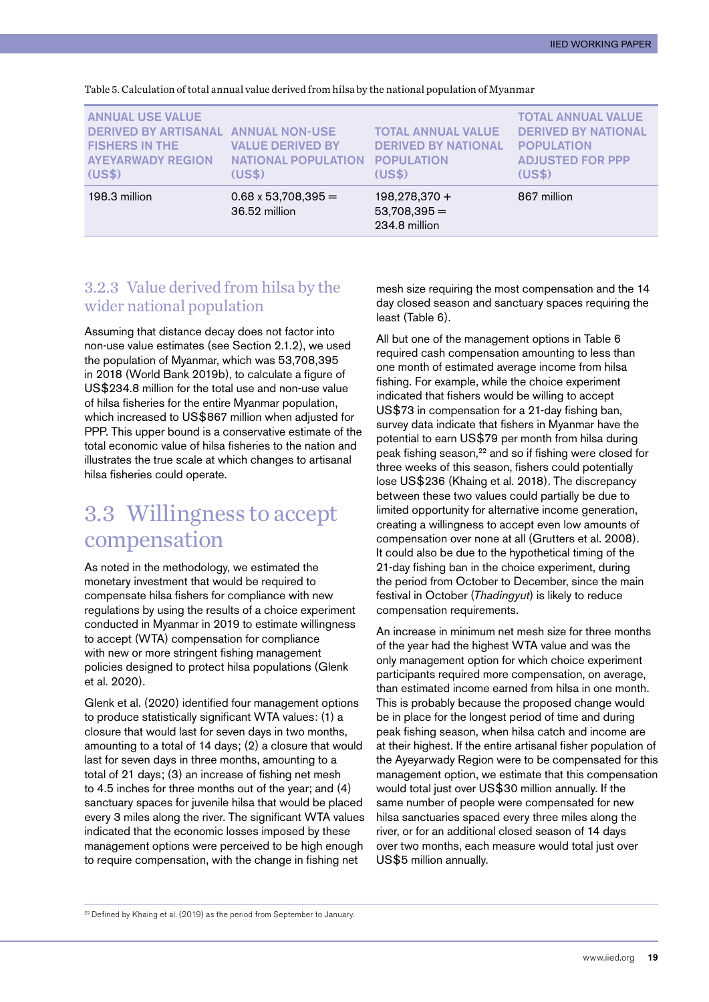| 198.3 million                                                                                                                 | $0.68 \times 53,708,395 =$<br>36.52 million                     | $198,278,370+$<br>$53,708,395 =$<br>234.8 million                                      | 867 million                                                                                                       |
|-------------------------------------------------------------------------------------------------------------------------------|-----------------------------------------------------------------|----------------------------------------------------------------------------------------|-------------------------------------------------------------------------------------------------------------------|
| <b>ANNUAL USE VALUE</b><br>DERIVED BY ARTISANAL ANNUAL NON-USE<br><b>FISHERS IN THE</b><br><b>AYEYARWADY REGION</b><br>(US\$) | <b>VALUE DERIVED BY</b><br><b>NATIONAL POPULATION</b><br>(US\$) | <b>TOTAL ANNUAL VALUE</b><br><b>DERIVED BY NATIONAL</b><br><b>POPULATION</b><br>(US\$) | <b>TOTAL ANNUAL VALUE</b><br><b>DERIVED BY NATIONAL</b><br><b>POPULATION</b><br><b>ADJUSTED FOR PPP</b><br>(US\$) |

<span id="page-19-0"></span>Table 5. Calculation of total annual value derived from hilsa by the national population of Myanmar

#### 3.2.3 Value derived from hilsa by the wider national population

Assuming that distance decay does not factor into non-use value estimates (see Section 2.1.2), we used the population of Myanmar, which was 53,708,395 in 2018 (World Bank 2019b), to calculate a figure of US\$234.8 million for the total use and non-use value of hilsa fisheries for the entire Myanmar population, which increased to US\$867 million when adjusted for PPP. This upper bound is a conservative estimate of the total economic value of hilsa fisheries to the nation and illustrates the true scale at which changes to artisanal hilsa fisheries could operate.

#### 3.3 Willingness to accept compensation

As noted in the methodology, we estimated the monetary investment that would be required to compensate hilsa fishers for compliance with new regulations by using the results of a choice experiment conducted in Myanmar in 2019 to estimate willingness to accept (WTA) compensation for compliance with new or more stringent fishing management policies designed to protect hilsa populations (Glenk et al. 2020).

Glenk et al. (2020) identified four management options to produce statistically significant WTA values: (1) a closure that would last for seven days in two months, amounting to a total of 14 days; (2) a closure that would last for seven days in three months, amounting to a total of 21 days; (3) an increase of fishing net mesh to 4.5 inches for three months out of the year; and (4) sanctuary spaces for juvenile hilsa that would be placed every 3 miles along the river. The significant WTA values indicated that the economic losses imposed by these management options were perceived to be high enough to require compensation, with the change in fishing net

mesh size requiring the most compensation and the 14 day closed season and sanctuary spaces requiring the least (Table 6).

All but one of the management options in Table 6 required cash compensation amounting to less than one month of estimated average income from hilsa fishing. For example, while the choice experiment indicated that fishers would be willing to accept US\$73 in compensation for a 21-day fishing ban, survey data indicate that fishers in Myanmar have the potential to earn US\$79 per month from hilsa during peak fishing season,22 and so if fishing were closed for three weeks of this season, fishers could potentially lose US\$236 (Khaing et al. 2018). The discrepancy between these two values could partially be due to limited opportunity for alternative income generation, creating a willingness to accept even low amounts of compensation over none at all (Grutters et al. 2008). It could also be due to the hypothetical timing of the 21-day fishing ban in the choice experiment, during the period from October to December, since the main festival in October (*Thadingyut*) is likely to reduce compensation requirements.

An increase in minimum net mesh size for three months of the year had the highest WTA value and was the only management option for which choice experiment participants required more compensation, on average, than estimated income earned from hilsa in one month. This is probably because the proposed change would be in place for the longest period of time and during peak fishing season, when hilsa catch and income are at their highest. If the entire artisanal fisher population of the Ayeyarwady Region were to be compensated for this management option, we estimate that this compensation would total just over US\$30 million annually. If the same number of people were compensated for new hilsa sanctuaries spaced every three miles along the river, or for an additional closed season of 14 days over two months, each measure would total just over US\$5 million annually.

<sup>&</sup>lt;sup>22</sup> Defined by Khaing et al. (2019) as the period from September to January.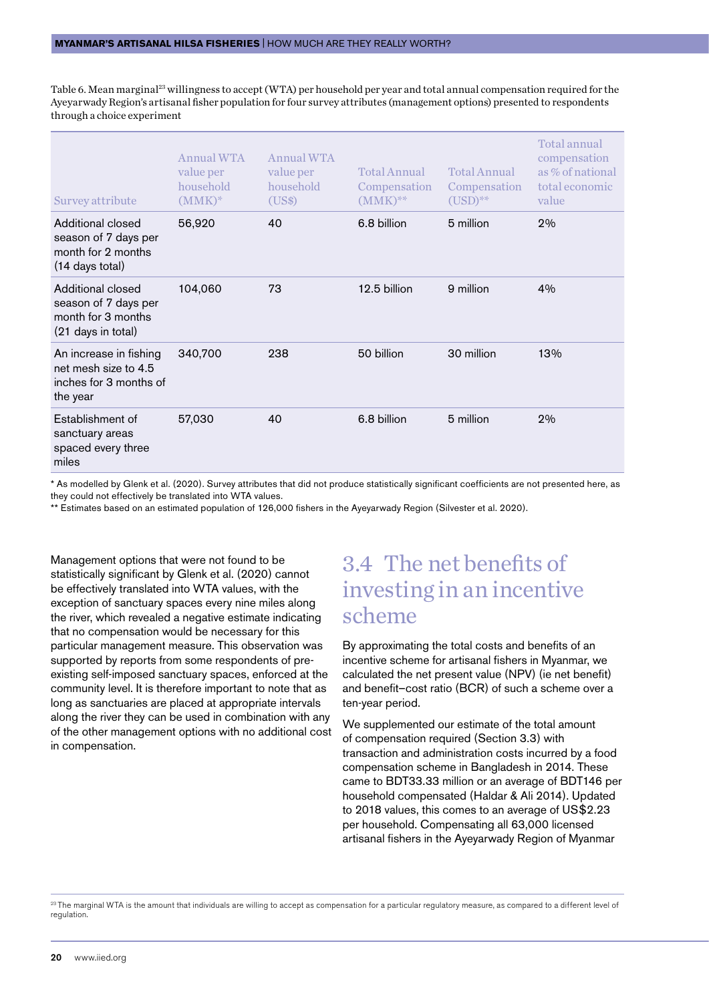<span id="page-20-0"></span>Table 6. Mean marginal<sup>23</sup> willingness to accept (WTA) per household per year and total annual compensation required for the Ayeyarwady Region's artisanal fisher population for four survey attributes (management options) presented to respondents through a choice experiment

| Annual WTA<br>value per<br>household<br>$(MMK)^*$ | Annual WTA<br>value per<br>household<br>(US\$) | <b>Total Annual</b><br>Compensation<br>$(MMK)$ ** | <b>Total Annual</b><br>Compensation<br>$(USD)^{**}$ | Total annual<br>compensation<br>as % of national<br>total economic<br>value |
|---------------------------------------------------|------------------------------------------------|---------------------------------------------------|-----------------------------------------------------|-----------------------------------------------------------------------------|
| 56,920                                            | 40                                             | 6.8 billion                                       | 5 million                                           | 2%                                                                          |
| 104,060                                           | 73                                             | 12.5 billion                                      | 9 million                                           | 4%                                                                          |
| 340,700                                           | 238                                            | 50 billion                                        | 30 million                                          | 13%                                                                         |
| 57,030                                            | 40                                             | 6.8 billion                                       | 5 million                                           | 2%                                                                          |
|                                                   |                                                |                                                   |                                                     |                                                                             |

\* As modelled by Glenk et al. (2020). Survey attributes that did not produce statistically significant coefficients are not presented here, as they could not effectively be translated into WTA values.

\*\* Estimates based on an estimated population of 126,000 fishers in the Ayeyarwady Region (Silvester et al. 2020).

Management options that were not found to be statistically significant by Glenk et al. (2020) cannot be effectively translated into WTA values, with the exception of sanctuary spaces every nine miles along the river, which revealed a negative estimate indicating that no compensation would be necessary for this particular management measure. This observation was supported by reports from some respondents of preexisting self-imposed sanctuary spaces, enforced at the community level. It is therefore important to note that as long as sanctuaries are placed at appropriate intervals along the river they can be used in combination with any of the other management options with no additional cost in compensation.

#### 3.4 The net benefits of investing in an incentive scheme

By approximating the total costs and benefits of an incentive scheme for artisanal fishers in Myanmar, we calculated the net present value (NPV) (ie net benefit) and benefit–cost ratio (BCR) of such a scheme over a ten-year period.

We supplemented our estimate of the total amount of compensation required (Section 3.3) with transaction and administration costs incurred by a food compensation scheme in Bangladesh in 2014. These came to BDT33.33 million or an average of BDT146 per household compensated (Haldar & Ali 2014). Updated to 2018 values, this comes to an average of US\$2.23 per household. Compensating all 63,000 licensed artisanal fishers in the Ayeyarwady Region of Myanmar

<sup>23</sup> The marginal WTA is the amount that individuals are willing to accept as compensation for a particular regulatory measure, as compared to a different level of regulation.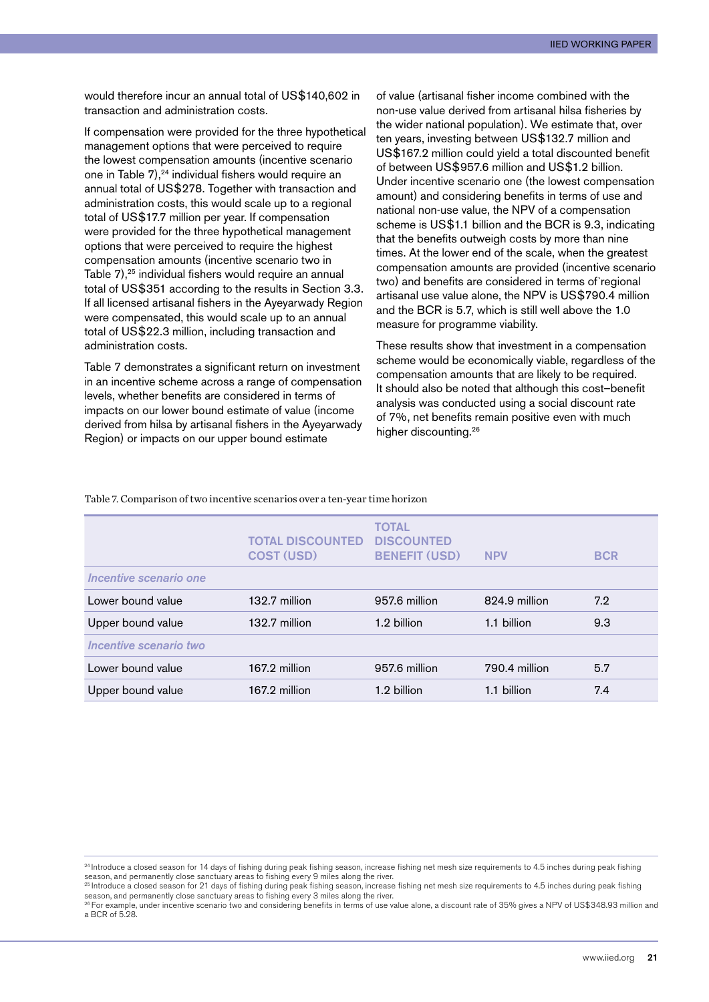IIED Working paper

would therefore incur an annual total of US\$140,602 in transaction and administration costs.

If compensation were provided for the three hypothetical management options that were perceived to require the lowest compensation amounts (incentive scenario one in Table 7),<sup>24</sup> individual fishers would require an annual total of US\$278. Together with transaction and administration costs, this would scale up to a regional total of US\$17.7 million per year. If compensation were provided for the three hypothetical management options that were perceived to require the highest compensation amounts (incentive scenario two in Table 7),<sup>25</sup> individual fishers would require an annual total of US\$351 according to the results in Section 3.3. If all licensed artisanal fishers in the Ayeyarwady Region were compensated, this would scale up to an annual total of US\$22.3 million, including transaction and administration costs.

Table 7 demonstrates a significant return on investment in an incentive scheme across a range of compensation levels, whether benefits are considered in terms of impacts on our lower bound estimate of value (income derived from hilsa by artisanal fishers in the Ayeyarwady Region) or impacts on our upper bound estimate

of value (artisanal fisher income combined with the non-use value derived from artisanal hilsa fisheries by the wider national population). We estimate that, over ten years, investing between US\$132.7 million and US\$167.2 million could yield a total discounted benefit of between US\$957.6 million and US\$1.2 billion. Under incentive scenario one (the lowest compensation amount) and considering benefits in terms of use and national non-use value, the NPV of a compensation scheme is US\$1.1 billion and the BCR is 9.3, indicating that the benefits outweigh costs by more than nine times. At the lower end of the scale, when the greatest compensation amounts are provided (incentive scenario two) and benefits are considered in terms of`regional artisanal use value alone, the NPV is US\$790.4 million and the BCR is 5.7, which is still well above the 1.0 measure for programme viability.

These results show that investment in a compensation scheme would be economically viable, regardless of the compensation amounts that are likely to be required. It should also be noted that although this cost–benefit analysis was conducted using a social discount rate of 7%, net benefits remain positive even with much higher discounting.26

Table 7. Comparison of two incentive scenarios over a ten-year time horizon

|                        | <b>TOTAL DISCOUNTED</b><br><b>COST (USD)</b> | <b>TOTAL</b><br><b>DISCOUNTED</b><br><b>BENEFIT (USD)</b> | <b>NPV</b>    | <b>BCR</b> |
|------------------------|----------------------------------------------|-----------------------------------------------------------|---------------|------------|
| Incentive scenario one |                                              |                                                           |               |            |
| Lower bound value      | 132.7 million                                | 957.6 million                                             | 824.9 million | 7.2        |
| Upper bound value      | 132.7 million                                | 1.2 billion                                               | 1.1 billion   | 9.3        |
| Incentive scenario two |                                              |                                                           |               |            |
| Lower bound value      | 167.2 million                                | 957.6 million                                             | 790.4 million | 5.7        |
| Upper bound value      | 167.2 million                                | 1.2 billion                                               | 1.1 billion   | 7.4        |

<sup>&</sup>lt;sup>24</sup> Introduce a closed season for 14 days of fishing during peak fishing season, increase fishing net mesh size requirements to 4.5 inches during peak fishing season, and permanently close sanctuary areas to fishing every 9 miles along the river.<br><sup>25</sup> Introduce a closed season for 21 days of fishing during peak fishing season, increase fishing net mesh size requirements to 4.5 i

season, and permanently close sanctuary areas to fishing every 3 miles along the river.

<sup>&</sup>lt;sup>26</sup> For example, under incentive scenario two and considering benefits in terms of use value alone, a discount rate of 35% gives a NPV of US\$348.93 million and a BCR of 5.28.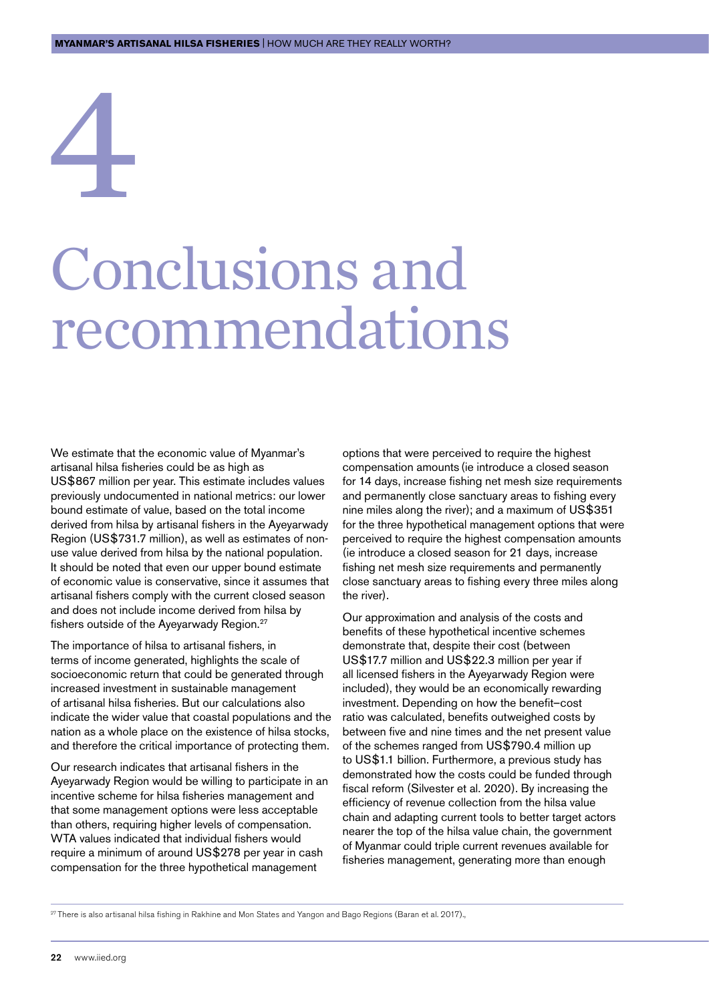# <span id="page-22-0"></span>4

## Conclusions and recommendations

We estimate that the economic value of Myanmar's artisanal hilsa fisheries could be as high as US\$867 million per year. This estimate includes values previously undocumented in national metrics: our lower bound estimate of value, based on the total income derived from hilsa by artisanal fishers in the Ayeyarwady Region (US\$731.7 million), as well as estimates of nonuse value derived from hilsa by the national population. It should be noted that even our upper bound estimate of economic value is conservative, since it assumes that artisanal fishers comply with the current closed season and does not include income derived from hilsa by fishers outside of the Ayeyarwady Region.<sup>27</sup>

The importance of hilsa to artisanal fishers, in terms of income generated, highlights the scale of socioeconomic return that could be generated through increased investment in sustainable management of artisanal hilsa fisheries. But our calculations also indicate the wider value that coastal populations and the nation as a whole place on the existence of hilsa stocks, and therefore the critical importance of protecting them.

Our research indicates that artisanal fishers in the Ayeyarwady Region would be willing to participate in an incentive scheme for hilsa fisheries management and that some management options were less acceptable than others, requiring higher levels of compensation. WTA values indicated that individual fishers would require a minimum of around US\$278 per year in cash compensation for the three hypothetical management

options that were perceived to require the highest compensation amounts (ie introduce a closed season for 14 days, increase fishing net mesh size requirements and permanently close sanctuary areas to fishing every nine miles along the river); and a maximum of US\$351 for the three hypothetical management options that were perceived to require the highest compensation amounts (ie introduce a closed season for 21 days, increase fishing net mesh size requirements and permanently close sanctuary areas to fishing every three miles along the river).

Our approximation and analysis of the costs and benefits of these hypothetical incentive schemes demonstrate that, despite their cost (between US\$17.7 million and US\$22.3 million per year if all licensed fishers in the Ayeyarwady Region were included), they would be an economically rewarding investment. Depending on how the benefit–cost ratio was calculated, benefits outweighed costs by between five and nine times and the net present value of the schemes ranged from US\$790.4 million up to US\$1.1 billion. Furthermore, a previous study has demonstrated how the costs could be funded through fiscal reform (Silvester et al. 2020). By increasing the efficiency of revenue collection from the hilsa value chain and adapting current tools to better target actors nearer the top of the hilsa value chain, the government of Myanmar could triple current revenues available for fisheries management, generating more than enough

<sup>27</sup> There is also artisanal hilsa fishing in Rakhine and Mon States and Yangon and Bago Regions (Baran et al. 2017).,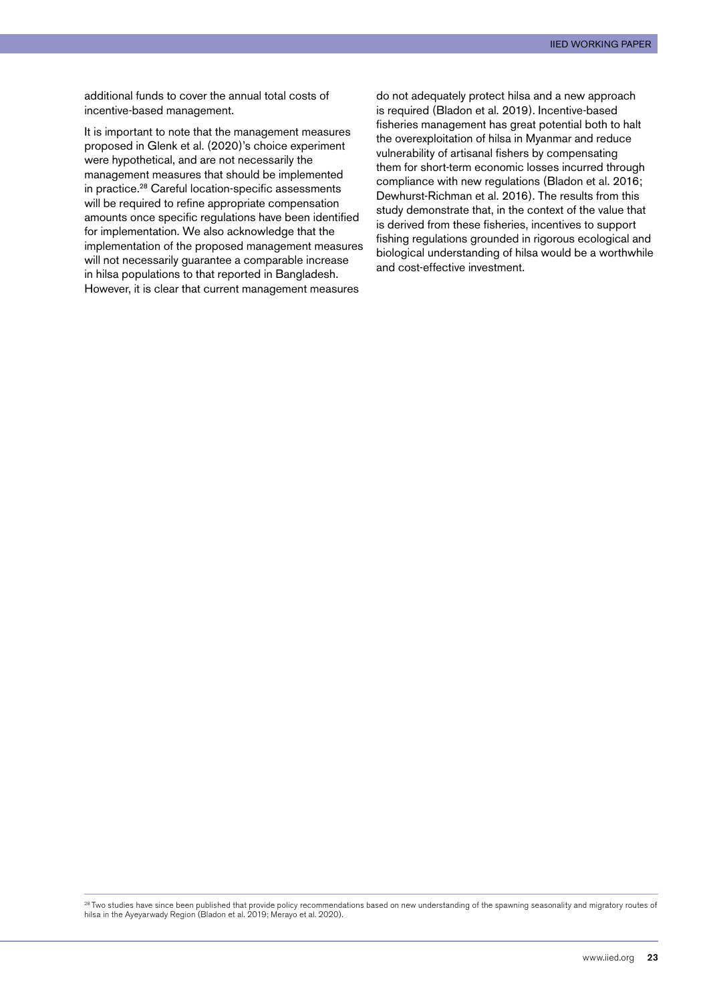additional funds to cover the annual total costs of incentive-based management.

It is important to note that the management measures proposed in Glenk et al. (2020)'s choice experiment were hypothetical, and are not necessarily the management measures that should be implemented in practice.28 Careful location-specific assessments will be required to refine appropriate compensation amounts once specific regulations have been identified for implementation. We also acknowledge that the implementation of the proposed management measures will not necessarily guarantee a comparable increase in hilsa populations to that reported in Bangladesh. However, it is clear that current management measures

do not adequately protect hilsa and a new approach is required (Bladon et al. 2019). Incentive-based fisheries management has great potential both to halt the overexploitation of hilsa in Myanmar and reduce vulnerability of artisanal fishers by compensating them for short-term economic losses incurred through compliance with new regulations (Bladon et al. 2016; Dewhurst-Richman et al. 2016). The results from this study demonstrate that, in the context of the value that is derived from these fisheries, incentives to support fishing regulations grounded in rigorous ecological and biological understanding of hilsa would be a worthwhile and cost-effective investment.

<sup>28</sup> Two studies have since been published that provide policy recommendations based on new understanding of the spawning seasonality and migratory routes of hilsa in the Ayeyarwady Region (Bladon et al. 2019; Merayo et al. 2020).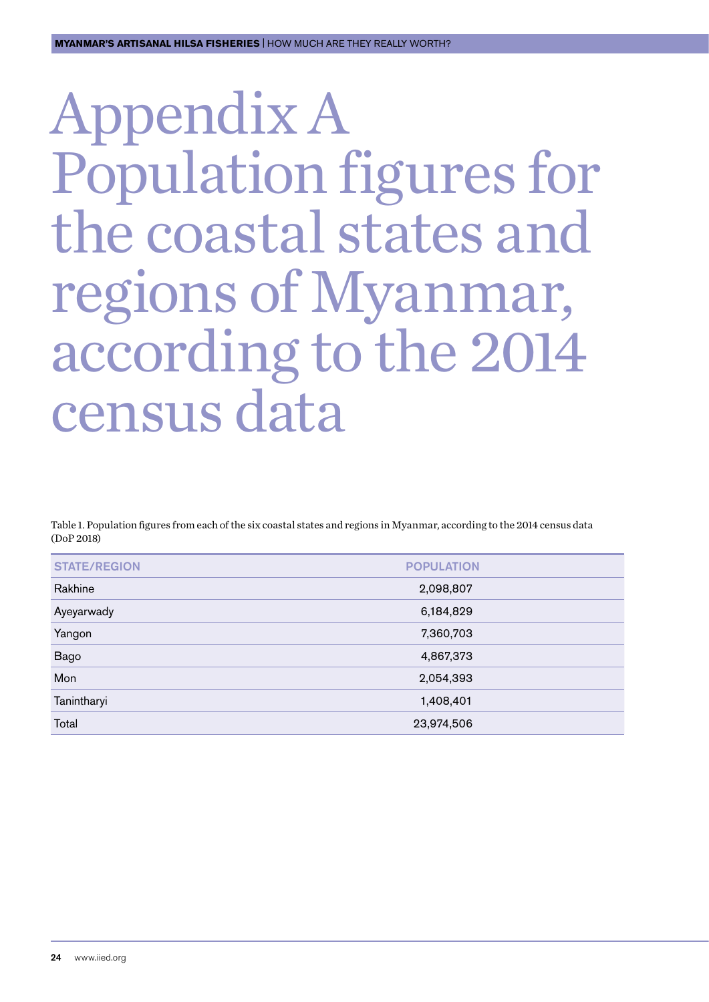## <span id="page-24-0"></span>Appendix A Population figures for the coastal states and regions of Myanmar, according to the 2014 census data

Table 1. Population figures from each of the six coastal states and regions in Myanmar, according to the 2014 census data (DoP 2018)

| <b>STATE/REGION</b> | <b>POPULATION</b> |
|---------------------|-------------------|
| Rakhine             | 2,098,807         |
| Ayeyarwady          | 6,184,829         |
| Yangon              | 7,360,703         |
| <b>Bago</b>         | 4,867,373         |
| Mon                 | 2,054,393         |
| Tanintharyi         | 1,408,401         |
| Total               | 23,974,506        |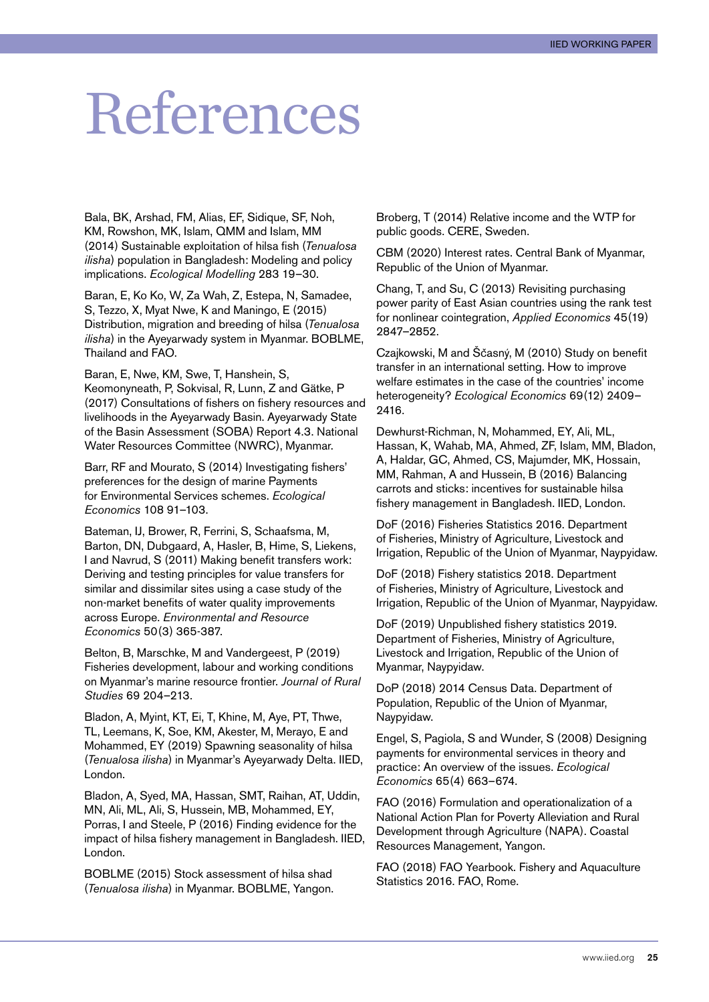## <span id="page-25-0"></span>References

Bala, BK, Arshad, FM, Alias, EF, Sidique, SF, Noh, KM, Rowshon, MK, Islam, QMM and Islam, MM (2014) Sustainable exploitation of hilsa fish (*Tenualosa ilisha*) population in Bangladesh: Modeling and policy implications. *Ecological Modelling* 283 19–30.

Baran, E, Ko Ko, W, Za Wah, Z, Estepa, N, Samadee, S, Tezzo, X, Myat Nwe, K and Maningo, E (2015) Distribution, migration and breeding of hilsa (*Tenualosa ilisha*) in the Ayeyarwady system in Myanmar. BOBLME, Thailand and FAO.

Baran, E, Nwe, KM, Swe, T, Hanshein, S, Keomonyneath, P, Sokvisal, R, Lunn, Z and Gätke, P (2017) Consultations of fishers on fishery resources and livelihoods in the Ayeyarwady Basin. Ayeyarwady State of the Basin Assessment (SOBA) Report 4.3. National Water Resources Committee (NWRC), Myanmar.

Barr, RF and Mourato, S (2014) Investigating fishers' preferences for the design of marine Payments for Environmental Services schemes. *Ecological Economics* 108 91–103.

Bateman, IJ, Brower, R, Ferrini, S, Schaafsma, M, Barton, DN, Dubgaard, A, Hasler, B, Hime, S, Liekens, I and Navrud, S (2011) Making benefit transfers work: Deriving and testing principles for value transfers for similar and dissimilar sites using a case study of the non-market benefits of water quality improvements across Europe. *Environmental and Resource Economics* 50(3) 365-387.

Belton, B, Marschke, M and Vandergeest, P (2019) Fisheries development, labour and working conditions on Myanmar's marine resource frontier. *Journal of Rural Studies* 69 204–213.

Bladon, A, Myint, KT, Ei, T, Khine, M, Aye, PT, Thwe, TL, Leemans, K, Soe, KM, Akester, M, Merayo, E and Mohammed, EY (2019) Spawning seasonality of hilsa (*Tenualosa ilisha*) in Myanmar's Ayeyarwady Delta. IIED, London.

Bladon, A, Syed, MA, Hassan, SMT, Raihan, AT, Uddin, MN, Ali, ML, Ali, S, Hussein, MB, Mohammed, EY, Porras, I and Steele, P (2016) Finding evidence for the impact of hilsa fishery management in Bangladesh. IIED, London.

BOBLME (2015) Stock assessment of hilsa shad (*Tenualosa ilisha*) in Myanmar. BOBLME, Yangon. Broberg, T (2014) Relative income and the WTP for public goods. CERE, Sweden.

CBM (2020) Interest rates. Central Bank of Myanmar, Republic of the Union of Myanmar.

Chang, T, and Su, C (2013) Revisiting purchasing power parity of East Asian countries using the rank test for nonlinear cointegration, *Applied Economics* 45(19) 2847–2852.

Czajkowski, M and Ščasný, M (2010) Study on benefit transfer in an international setting. How to improve welfare estimates in the case of the countries' income heterogeneity? *Ecological Economics* 69(12) 2409– 2416.

Dewhurst-Richman, N, Mohammed, EY, Ali, ML, Hassan, K, Wahab, MA, Ahmed, ZF, Islam, MM, Bladon, A, Haldar, GC, Ahmed, CS, Majumder, MK, Hossain, MM, Rahman, A and Hussein, B (2016) Balancing carrots and sticks: incentives for sustainable hilsa fishery management in Bangladesh. IIED, London.

DoF (2016) Fisheries Statistics 2016. Department of Fisheries, Ministry of Agriculture, Livestock and Irrigation, Republic of the Union of Myanmar, Naypyidaw.

DoF (2018) Fishery statistics 2018. Department of Fisheries, Ministry of Agriculture, Livestock and Irrigation, Republic of the Union of Myanmar, Naypyidaw.

DoF (2019) Unpublished fishery statistics 2019. Department of Fisheries, Ministry of Agriculture, Livestock and Irrigation, Republic of the Union of Myanmar, Naypyidaw.

DoP (2018) 2014 Census Data. Department of Population, Republic of the Union of Myanmar, Naypyidaw.

Engel, S, Pagiola, S and Wunder, S (2008) Designing payments for environmental services in theory and practice: An overview of the issues. *Ecological Economics* 65(4) 663–674.

FAO (2016) Formulation and operationalization of a National Action Plan for Poverty Alleviation and Rural Development through Agriculture (NAPA). Coastal Resources Management, Yangon.

FAO (2018) FAO Yearbook. Fishery and Aquaculture Statistics 2016. FAO, Rome.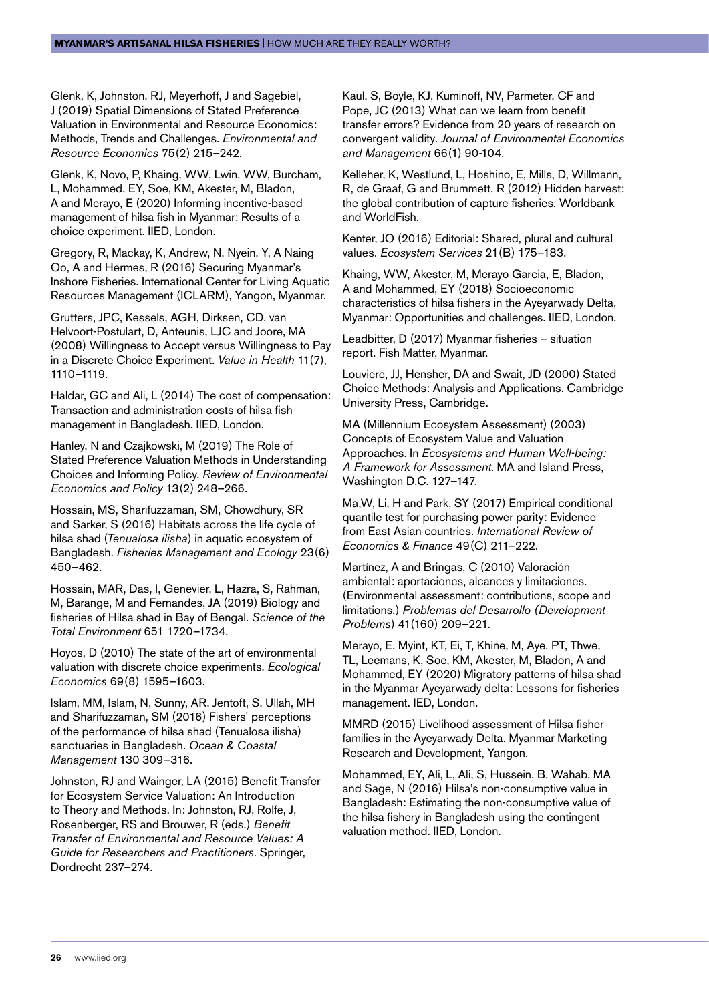Glenk, K, Johnston, RJ, Meyerhoff, J and Sagebiel, J (2019) Spatial Dimensions of Stated Preference Valuation in Environmental and Resource Economics: Methods, Trends and Challenges. *Environmental and Resource Economics* 75(2) 215–242.

Glenk, K, Novo, P, Khaing, WW, Lwin, WW, Burcham, L, Mohammed, EY, Soe, KM, Akester, M, Bladon, A and Merayo, E (2020) Informing incentive-based management of hilsa fish in Myanmar: Results of a choice experiment. IIED, London.

Gregory, R, Mackay, K, Andrew, N, Nyein, Y, A Naing Oo, A and Hermes, R (2016) Securing Myanmar's Inshore Fisheries. International Center for Living Aquatic Resources Management (ICLARM), Yangon, Myanmar.

Grutters, JPC, Kessels, AGH, Dirksen, CD, van Helvoort-Postulart, D, Anteunis, LJC and Joore, MA (2008) Willingness to Accept versus Willingness to Pay in a Discrete Choice Experiment. *Value in Health* 11(7), 1110–1119.

Haldar, GC and Ali, L (2014) The cost of compensation: Transaction and administration costs of hilsa fish management in Bangladesh. IIED, London.

Hanley, N and Czajkowski, M (2019) The Role of Stated Preference Valuation Methods in Understanding Choices and Informing Policy. *Review of Environmental Economics and Policy* 13(2) 248–266.

Hossain, MS, Sharifuzzaman, SM, Chowdhury, SR and Sarker, S (2016) Habitats across the life cycle of hilsa shad (*Tenualosa ilisha*) in aquatic ecosystem of Bangladesh. *Fisheries Management and Ecology* 23(6) 450–462.

Hossain, MAR, Das, I, Genevier, L, Hazra, S, Rahman, M, Barange, M and Fernandes, JA (2019) Biology and fisheries of Hilsa shad in Bay of Bengal. *Science of the Total Environment* 651 1720–1734.

Hoyos, D (2010) The state of the art of environmental valuation with discrete choice experiments. *Ecological Economics* 69(8) 1595–1603.

Islam, MM, Islam, N, Sunny, AR, Jentoft, S, Ullah, MH and Sharifuzzaman, SM (2016) Fishers' perceptions of the performance of hilsa shad (Tenualosa ilisha) sanctuaries in Bangladesh. *Ocean & Coastal Management* 130 309–316.

Johnston, RJ and Wainger, LA (2015) Benefit Transfer for Ecosystem Service Valuation: An Introduction to Theory and Methods. In: Johnston, RJ, Rolfe, J, Rosenberger, RS and Brouwer, R (eds.) *Benefit Transfer of Environmental and Resource Values: A Guide for Researchers and Practitioners*. Springer, Dordrecht 237–274.

Kaul, S, Boyle, KJ, Kuminoff, NV, Parmeter, CF and Pope, JC (2013) What can we learn from benefit transfer errors? Evidence from 20 years of research on convergent validity. *Journal of Environmental Economics and Management* 66(1) 90-104.

Kelleher, K, Westlund, L, Hoshino, E, Mills, D, Willmann, R, de Graaf, G and Brummett, R (2012) Hidden harvest: the global contribution of capture fisheries. Worldbank and WorldFish.

Kenter, JO (2016) Editorial: Shared, plural and cultural values. *Ecosystem Services* 21(B) 175–183.

Khaing, WW, Akester, M, Merayo Garcia, E, Bladon, A and Mohammed, EY (2018) Socioeconomic characteristics of hilsa fishers in the Ayeyarwady Delta, Myanmar: Opportunities and challenges. IIED, London.

Leadbitter, D (2017) Myanmar fisheries – situation report. Fish Matter, Myanmar.

Louviere, JJ, Hensher, DA and Swait, JD (2000) Stated Choice Methods: Analysis and Applications. Cambridge University Press, Cambridge.

MA (Millennium Ecosystem Assessment) (2003) Concepts of Ecosystem Value and Valuation Approaches. In *Ecosystems and Human Well-being: A Framework for Assessment*. MA and Island Press, Washington D.C. 127–147.

Ma,W, Li, H and Park, SY (2017) Empirical conditional quantile test for purchasing power parity: Evidence from East Asian countries. *International Review of Economics & Finance* 49(C) 211–222.

Martínez, A and Bringas, C (2010) Valoración ambiental: aportaciones, alcances y limitaciones. (Environmental assessment: contributions, scope and limitations.) *Problemas del Desarrollo (Development Problems*) 41(160) 209–221.

Merayo, E, Myint, KT, Ei, T, Khine, M, Aye, PT, Thwe, TL, Leemans, K, Soe, KM, Akester, M, Bladon, A and Mohammed, EY (2020) Migratory patterns of hilsa shad in the Myanmar Ayeyarwady delta: Lessons for fisheries management. IED, London.

MMRD (2015) Livelihood assessment of Hilsa fisher families in the Ayeyarwady Delta. Myanmar Marketing Research and Development, Yangon.

Mohammed, EY, Ali, L, Ali, S, Hussein, B, Wahab, MA and Sage, N (2016) Hilsa's non-consumptive value in Bangladesh: Estimating the non-consumptive value of the hilsa fishery in Bangladesh using the contingent valuation method. IIED, London.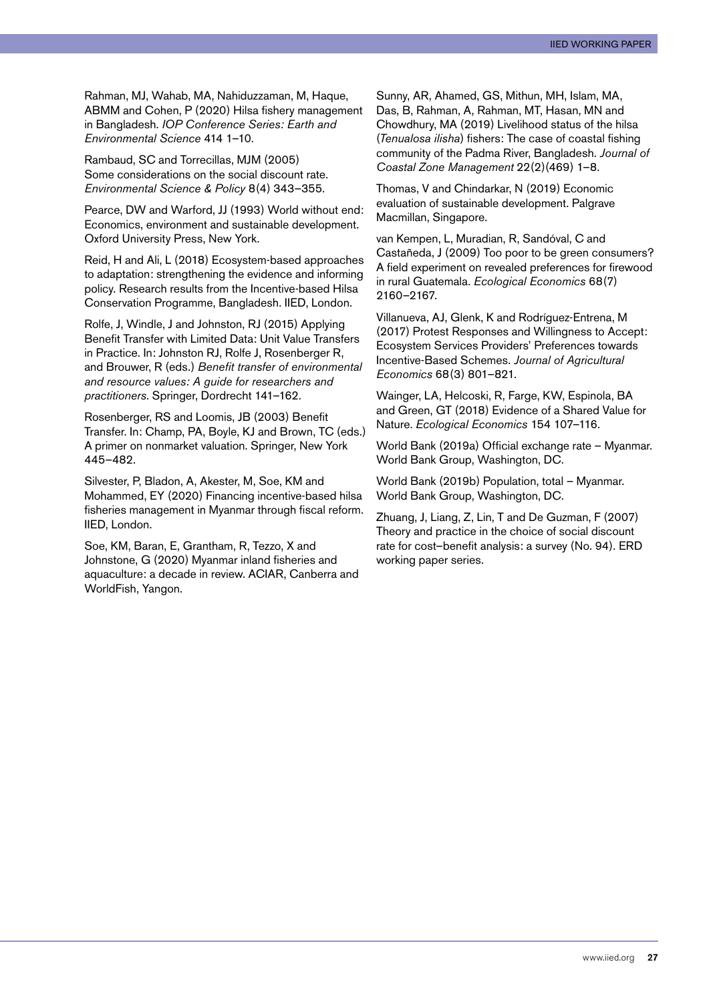Rahman, MJ, Wahab, MA, Nahiduzzaman, M, Haque, ABMM and Cohen, P (2020) Hilsa fishery management in Bangladesh. *IOP Conference Series: Earth and Environmental Science* 414 1–10.

Rambaud, SC and Torrecillas, MJM (2005) Some considerations on the social discount rate. *Environmental Science & Policy* 8(4) 343–355.

Pearce, DW and Warford, JJ (1993) World without end: Economics, environment and sustainable development. Oxford University Press, New York.

Reid, H and Ali, L (2018) Ecosystem-based approaches to adaptation: strengthening the evidence and informing policy. Research results from the Incentive-based Hilsa Conservation Programme, Bangladesh. IIED, London.

Rolfe, J, Windle, J and Johnston, RJ (2015) Applying Benefit Transfer with Limited Data: Unit Value Transfers in Practice. In: Johnston RJ, Rolfe J, Rosenberger R, and Brouwer, R (eds.) *Benefit transfer of environmental and resource values: A guide for researchers and practitioners*. Springer, Dordrecht 141–162.

Rosenberger, RS and Loomis, JB (2003) Benefit Transfer. In: Champ, PA, Boyle, KJ and Brown, TC (eds.) A primer on nonmarket valuation. Springer, New York 445–482.

Silvester, P, Bladon, A, Akester, M, Soe, KM and Mohammed, EY (2020) Financing incentive-based hilsa fisheries management in Myanmar through fiscal reform. IIED, London.

Soe, KM, Baran, E, Grantham, R, Tezzo, X and Johnstone, G (2020) Myanmar inland fisheries and aquaculture: a decade in review. ACIAR, Canberra and WorldFish, Yangon.

Sunny, AR, Ahamed, GS, Mithun, MH, Islam, MA, Das, B, Rahman, A, Rahman, MT, Hasan, MN and Chowdhury, MA (2019) Livelihood status of the hilsa (*Tenualosa ilisha*) fishers: The case of coastal fishing community of the Padma River, Bangladesh. *Journal of Coastal Zone Management* 22(2)(469) 1–8.

Thomas, V and Chindarkar, N (2019) Economic evaluation of sustainable development. Palgrave Macmillan, Singapore.

van Kempen, L, Muradian, R, Sandóval, C and Castañeda, J (2009) Too poor to be green consumers? A field experiment on revealed preferences for firewood in rural Guatemala. *Ecological Economics* 68(7) 2160–2167.

Villanueva, AJ, Glenk, K and Rodríguez-Entrena, M (2017) Protest Responses and Willingness to Accept: Ecosystem Services Providers' Preferences towards Incentive-Based Schemes. *Journal of Agricultural Economics* 68(3) 801–821.

Wainger, LA, Helcoski, R, Farge, KW, Espinola, BA and Green, GT (2018) Evidence of a Shared Value for Nature. *Ecological Economics* 154 107–116.

World Bank (2019a) Official exchange rate – Myanmar. World Bank Group, Washington, DC.

World Bank (2019b) Population, total – Myanmar. World Bank Group, Washington, DC.

Zhuang, J, Liang, Z, Lin, T and De Guzman, F (2007) Theory and practice in the choice of social discount rate for cost–benefit analysis: a survey (No. 94). ERD working paper series.